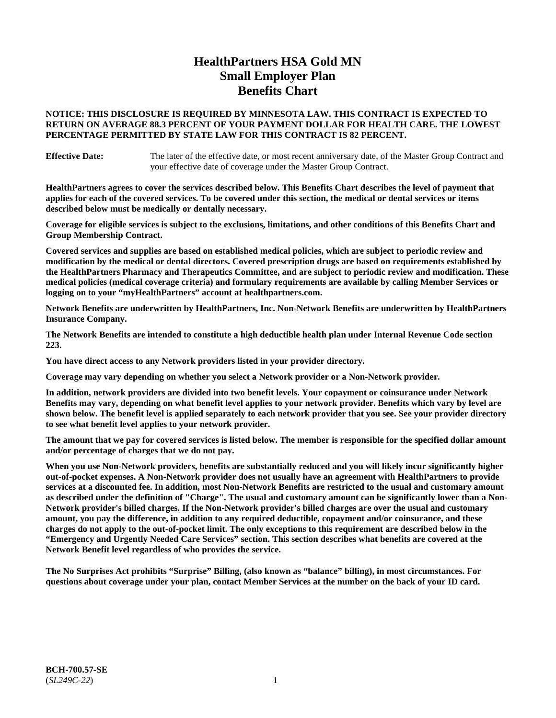# **HealthPartners HSA Gold MN Small Employer Plan Benefits Chart**

### **NOTICE: THIS DISCLOSURE IS REQUIRED BY MINNESOTA LAW. THIS CONTRACT IS EXPECTED TO RETURN ON AVERAGE 88.3 PERCENT OF YOUR PAYMENT DOLLAR FOR HEALTH CARE. THE LOWEST PERCENTAGE PERMITTED BY STATE LAW FOR THIS CONTRACT IS 82 PERCENT.**

**Effective Date:** The later of the effective date, or most recent anniversary date, of the Master Group Contract and your effective date of coverage under the Master Group Contract.

**HealthPartners agrees to cover the services described below. This Benefits Chart describes the level of payment that applies for each of the covered services. To be covered under this section, the medical or dental services or items described below must be medically or dentally necessary.**

**Coverage for eligible services is subject to the exclusions, limitations, and other conditions of this Benefits Chart and Group Membership Contract.**

**Covered services and supplies are based on established medical policies, which are subject to periodic review and modification by the medical or dental directors. Covered prescription drugs are based on requirements established by the HealthPartners Pharmacy and Therapeutics Committee, and are subject to periodic review and modification. These medical policies (medical coverage criteria) and formulary requirements are available by calling Member Services or logging on to your "myHealthPartners" account at [healthpartners.com.](https://www.healthpartners.com/hp/index.html)**

**Network Benefits are underwritten by HealthPartners, Inc. Non-Network Benefits are underwritten by HealthPartners Insurance Company.** 

**The Network Benefits are intended to constitute a high deductible health plan under Internal Revenue Code section 223.** 

**You have direct access to any Network providers listed in your provider directory.**

**Coverage may vary depending on whether you select a Network provider or a Non-Network provider.**

**In addition, network providers are divided into two benefit levels. Your copayment or coinsurance under Network Benefits may vary, depending on what benefit level applies to your network provider. Benefits which vary by level are shown below. The benefit level is applied separately to each network provider that you see. See your provider directory to see what benefit level applies to your network provider.**

**The amount that we pay for covered services is listed below. The member is responsible for the specified dollar amount and/or percentage of charges that we do not pay.**

**When you use Non-Network providers, benefits are substantially reduced and you will likely incur significantly higher out-of-pocket expenses. A Non-Network provider does not usually have an agreement with HealthPartners to provide services at a discounted fee. In addition, most Non-Network Benefits are restricted to the usual and customary amount as described under the definition of "Charge". The usual and customary amount can be significantly lower than a Non-Network provider's billed charges. If the Non-Network provider's billed charges are over the usual and customary amount, you pay the difference, in addition to any required deductible, copayment and/or coinsurance, and these charges do not apply to the out-of-pocket limit. The only exceptions to this requirement are described below in the "Emergency and Urgently Needed Care Services" section. This section describes what benefits are covered at the Network Benefit level regardless of who provides the service.**

**The No Surprises Act prohibits "Surprise" Billing, (also known as "balance" billing), in most circumstances. For questions about coverage under your plan, contact Member Services at the number on the back of your ID card.**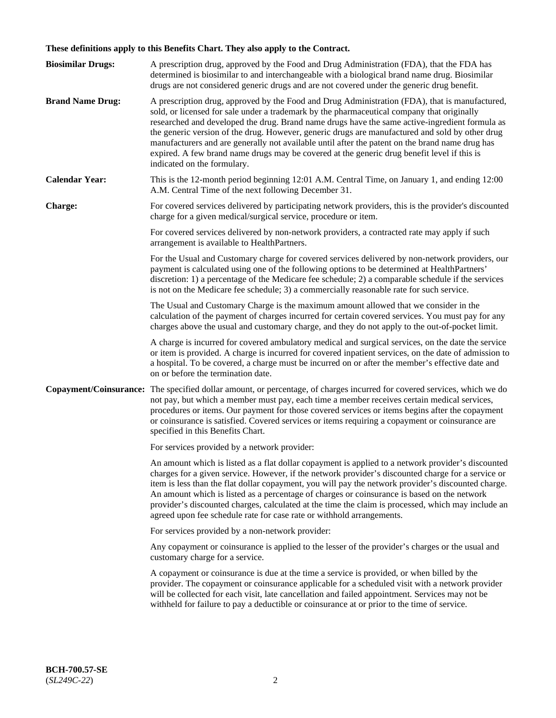# **These definitions apply to this Benefits Chart. They also apply to the Contract.**

| <b>Biosimilar Drugs:</b> | A prescription drug, approved by the Food and Drug Administration (FDA), that the FDA has<br>determined is biosimilar to and interchangeable with a biological brand name drug. Biosimilar<br>drugs are not considered generic drugs and are not covered under the generic drug benefit.                                                                                                                                                                                                                                                                                                                                           |
|--------------------------|------------------------------------------------------------------------------------------------------------------------------------------------------------------------------------------------------------------------------------------------------------------------------------------------------------------------------------------------------------------------------------------------------------------------------------------------------------------------------------------------------------------------------------------------------------------------------------------------------------------------------------|
| <b>Brand Name Drug:</b>  | A prescription drug, approved by the Food and Drug Administration (FDA), that is manufactured,<br>sold, or licensed for sale under a trademark by the pharmaceutical company that originally<br>researched and developed the drug. Brand name drugs have the same active-ingredient formula as<br>the generic version of the drug. However, generic drugs are manufactured and sold by other drug<br>manufacturers and are generally not available until after the patent on the brand name drug has<br>expired. A few brand name drugs may be covered at the generic drug benefit level if this is<br>indicated on the formulary. |
| <b>Calendar Year:</b>    | This is the 12-month period beginning 12:01 A.M. Central Time, on January 1, and ending 12:00<br>A.M. Central Time of the next following December 31.                                                                                                                                                                                                                                                                                                                                                                                                                                                                              |
| <b>Charge:</b>           | For covered services delivered by participating network providers, this is the provider's discounted<br>charge for a given medical/surgical service, procedure or item.                                                                                                                                                                                                                                                                                                                                                                                                                                                            |
|                          | For covered services delivered by non-network providers, a contracted rate may apply if such<br>arrangement is available to HealthPartners.                                                                                                                                                                                                                                                                                                                                                                                                                                                                                        |
|                          | For the Usual and Customary charge for covered services delivered by non-network providers, our<br>payment is calculated using one of the following options to be determined at HealthPartners'<br>discretion: 1) a percentage of the Medicare fee schedule; 2) a comparable schedule if the services<br>is not on the Medicare fee schedule; 3) a commercially reasonable rate for such service.                                                                                                                                                                                                                                  |
|                          | The Usual and Customary Charge is the maximum amount allowed that we consider in the<br>calculation of the payment of charges incurred for certain covered services. You must pay for any<br>charges above the usual and customary charge, and they do not apply to the out-of-pocket limit.                                                                                                                                                                                                                                                                                                                                       |
|                          | A charge is incurred for covered ambulatory medical and surgical services, on the date the service<br>or item is provided. A charge is incurred for covered inpatient services, on the date of admission to<br>a hospital. To be covered, a charge must be incurred on or after the member's effective date and<br>on or before the termination date.                                                                                                                                                                                                                                                                              |
| Copayment/Coinsurance:   | The specified dollar amount, or percentage, of charges incurred for covered services, which we do<br>not pay, but which a member must pay, each time a member receives certain medical services,<br>procedures or items. Our payment for those covered services or items begins after the copayment<br>or coinsurance is satisfied. Covered services or items requiring a copayment or coinsurance are<br>specified in this Benefits Chart.                                                                                                                                                                                        |
|                          | For services provided by a network provider:                                                                                                                                                                                                                                                                                                                                                                                                                                                                                                                                                                                       |
|                          | An amount which is listed as a flat dollar copayment is applied to a network provider's discounted<br>charges for a given service. However, if the network provider's discounted charge for a service or<br>item is less than the flat dollar copayment, you will pay the network provider's discounted charge.<br>An amount which is listed as a percentage of charges or coinsurance is based on the network<br>provider's discounted charges, calculated at the time the claim is processed, which may include an<br>agreed upon fee schedule rate for case rate or withhold arrangements.                                      |
|                          | For services provided by a non-network provider:                                                                                                                                                                                                                                                                                                                                                                                                                                                                                                                                                                                   |
|                          | Any copayment or coinsurance is applied to the lesser of the provider's charges or the usual and<br>customary charge for a service.                                                                                                                                                                                                                                                                                                                                                                                                                                                                                                |
|                          | A copayment or coinsurance is due at the time a service is provided, or when billed by the<br>provider. The copayment or coinsurance applicable for a scheduled visit with a network provider<br>will be collected for each visit, late cancellation and failed appointment. Services may not be<br>withheld for failure to pay a deductible or coinsurance at or prior to the time of service.                                                                                                                                                                                                                                    |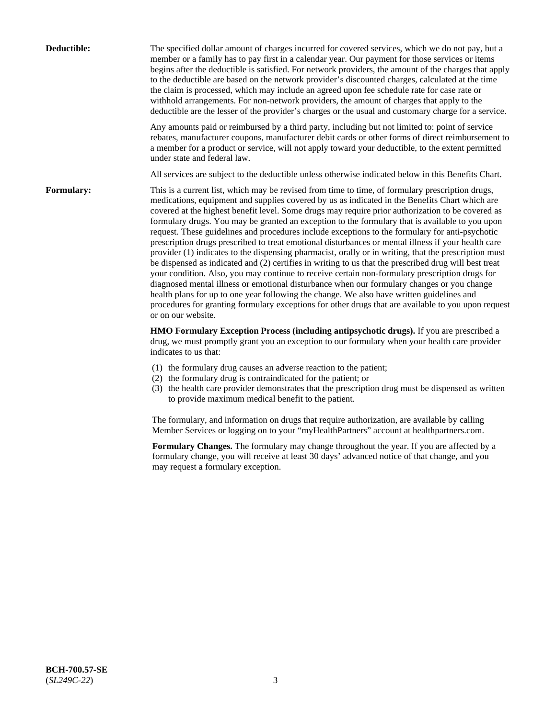| Deductible: | The specified dollar amount of charges incurred for covered services, which we do not pay, but a<br>member or a family has to pay first in a calendar year. Our payment for those services or items<br>begins after the deductible is satisfied. For network providers, the amount of the charges that apply<br>to the deductible are based on the network provider's discounted charges, calculated at the time<br>the claim is processed, which may include an agreed upon fee schedule rate for case rate or<br>withhold arrangements. For non-network providers, the amount of charges that apply to the<br>deductible are the lesser of the provider's charges or the usual and customary charge for a service.                                                                                                                                                                                                                                                                                                                                                                                                                                                                                                                                             |
|-------------|------------------------------------------------------------------------------------------------------------------------------------------------------------------------------------------------------------------------------------------------------------------------------------------------------------------------------------------------------------------------------------------------------------------------------------------------------------------------------------------------------------------------------------------------------------------------------------------------------------------------------------------------------------------------------------------------------------------------------------------------------------------------------------------------------------------------------------------------------------------------------------------------------------------------------------------------------------------------------------------------------------------------------------------------------------------------------------------------------------------------------------------------------------------------------------------------------------------------------------------------------------------|
|             | Any amounts paid or reimbursed by a third party, including but not limited to: point of service<br>rebates, manufacturer coupons, manufacturer debit cards or other forms of direct reimbursement to<br>a member for a product or service, will not apply toward your deductible, to the extent permitted<br>under state and federal law.                                                                                                                                                                                                                                                                                                                                                                                                                                                                                                                                                                                                                                                                                                                                                                                                                                                                                                                        |
|             | All services are subject to the deductible unless otherwise indicated below in this Benefits Chart.                                                                                                                                                                                                                                                                                                                                                                                                                                                                                                                                                                                                                                                                                                                                                                                                                                                                                                                                                                                                                                                                                                                                                              |
| Formulary:  | This is a current list, which may be revised from time to time, of formulary prescription drugs,<br>medications, equipment and supplies covered by us as indicated in the Benefits Chart which are<br>covered at the highest benefit level. Some drugs may require prior authorization to be covered as<br>formulary drugs. You may be granted an exception to the formulary that is available to you upon<br>request. These guidelines and procedures include exceptions to the formulary for anti-psychotic<br>prescription drugs prescribed to treat emotional disturbances or mental illness if your health care<br>provider (1) indicates to the dispensing pharmacist, orally or in writing, that the prescription must<br>be dispensed as indicated and (2) certifies in writing to us that the prescribed drug will best treat<br>your condition. Also, you may continue to receive certain non-formulary prescription drugs for<br>diagnosed mental illness or emotional disturbance when our formulary changes or you change<br>health plans for up to one year following the change. We also have written guidelines and<br>procedures for granting formulary exceptions for other drugs that are available to you upon request<br>or on our website. |
|             | HMO Formulary Exception Process (including antipsychotic drugs). If you are prescribed a<br>drug, we must promptly grant you an exception to our formulary when your health care provider<br>indicates to us that:                                                                                                                                                                                                                                                                                                                                                                                                                                                                                                                                                                                                                                                                                                                                                                                                                                                                                                                                                                                                                                               |
|             | (1) the formulary drug causes an adverse reaction to the patient;<br>(2) the formulary drug is contraindicated for the patient; or<br>(3) the health care provider demonstrates that the prescription drug must be dispensed as written<br>to provide maximum medical benefit to the patient.                                                                                                                                                                                                                                                                                                                                                                                                                                                                                                                                                                                                                                                                                                                                                                                                                                                                                                                                                                    |
|             | The formulary, and information on drugs that require authorization, are available by calling<br>Member Services or logging on to your "myHealthPartners" account at healthpartners.com.                                                                                                                                                                                                                                                                                                                                                                                                                                                                                                                                                                                                                                                                                                                                                                                                                                                                                                                                                                                                                                                                          |
|             | Formulary Changes. The formulary may change throughout the year. If you are affected by a<br>formulary change, you will receive at least 30 days' advanced notice of that change, and you<br>may request a formulary exception.                                                                                                                                                                                                                                                                                                                                                                                                                                                                                                                                                                                                                                                                                                                                                                                                                                                                                                                                                                                                                                  |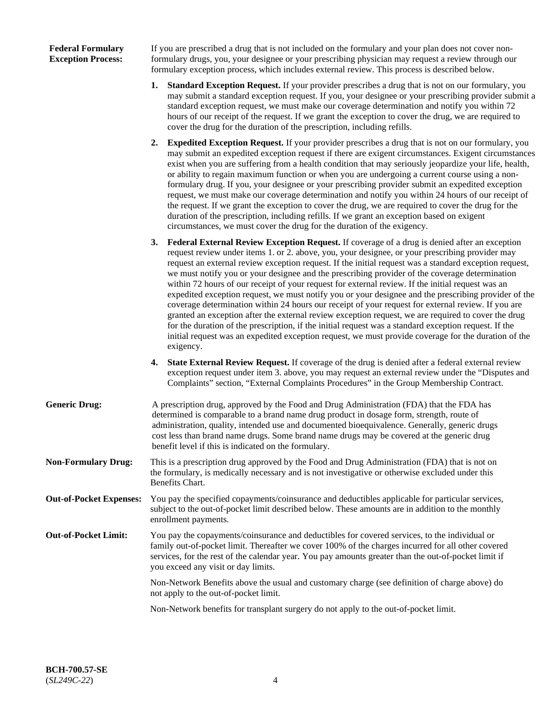### **Federal Formulary Exception Process:**

If you are prescribed a drug that is not included on the formulary and your plan does not cover nonformulary drugs, you, your designee or your prescribing physician may request a review through our formulary exception process, which includes external review. This process is described below.

- **1. Standard Exception Request.** If your provider prescribes a drug that is not on our formulary, you may submit a standard exception request. If you, your designee or your prescribing provider submit a standard exception request, we must make our coverage determination and notify you within 72 hours of our receipt of the request. If we grant the exception to cover the drug, we are required to cover the drug for the duration of the prescription, including refills.
- **2. Expedited Exception Request.** If your provider prescribes a drug that is not on our formulary, you may submit an expedited exception request if there are exigent circumstances. Exigent circumstances exist when you are suffering from a health condition that may seriously jeopardize your life, health, or ability to regain maximum function or when you are undergoing a current course using a nonformulary drug. If you, your designee or your prescribing provider submit an expedited exception request, we must make our coverage determination and notify you within 24 hours of our receipt of the request. If we grant the exception to cover the drug, we are required to cover the drug for the duration of the prescription, including refills. If we grant an exception based on exigent circumstances, we must cover the drug for the duration of the exigency.
- **3. Federal External Review Exception Request.** If coverage of a drug is denied after an exception request review under items 1. or 2. above, you, your designee, or your prescribing provider may request an external review exception request. If the initial request was a standard exception request, we must notify you or your designee and the prescribing provider of the coverage determination within 72 hours of our receipt of your request for external review. If the initial request was an expedited exception request, we must notify you or your designee and the prescribing provider of the coverage determination within 24 hours our receipt of your request for external review. If you are granted an exception after the external review exception request, we are required to cover the drug for the duration of the prescription, if the initial request was a standard exception request. If the initial request was an expedited exception request, we must provide coverage for the duration of the exigency.
- **4. State External Review Request.** If coverage of the drug is denied after a federal external review exception request under item 3. above, you may request an external review under the "Disputes and Complaints" section, "External Complaints Procedures" in the Group Membership Contract.
- **Generic Drug:** A prescription drug, approved by the Food and Drug Administration (FDA) that the FDA has determined is comparable to a brand name drug product in dosage form, strength, route of administration, quality, intended use and documented bioequivalence. Generally, generic drugs cost less than brand name drugs. Some brand name drugs may be covered at the generic drug benefit level if this is indicated on the formulary.
- **Non-Formulary Drug:** This is a prescription drug approved by the Food and Drug Administration (FDA) that is not on the formulary, is medically necessary and is not investigative or otherwise excluded under this Benefits Chart.
- **Out-of-Pocket Expenses:** You pay the specified copayments/coinsurance and deductibles applicable for particular services, subject to the out-of-pocket limit described below. These amounts are in addition to the monthly enrollment payments.
- **Out-of-Pocket Limit:** You pay the copayments/coinsurance and deductibles for covered services, to the individual or family out-of-pocket limit. Thereafter we cover 100% of the charges incurred for all other covered services, for the rest of the calendar year. You pay amounts greater than the out-of-pocket limit if you exceed any visit or day limits.

Non-Network Benefits above the usual and customary charge (see definition of charge above) do not apply to the out-of-pocket limit.

Non-Network benefits for transplant surgery do not apply to the out-of-pocket limit.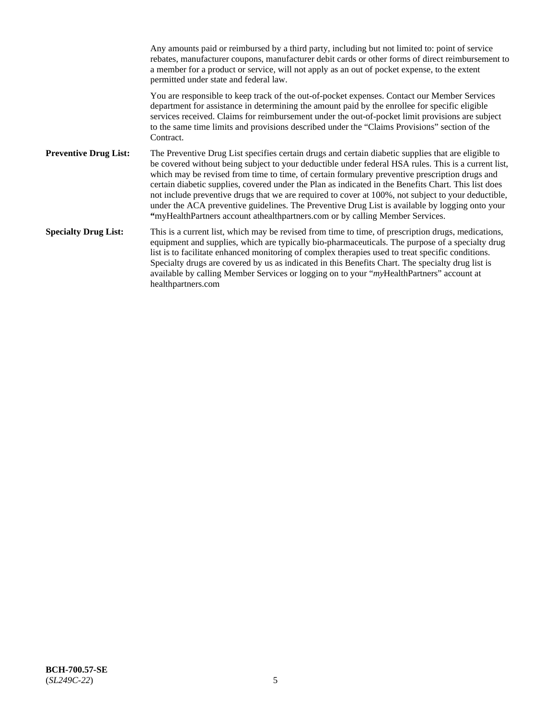Any amounts paid or reimbursed by a third party, including but not limited to: point of service rebates, manufacturer coupons, manufacturer debit cards or other forms of direct reimbursement to a member for a product or service, will not apply as an out of pocket expense, to the extent permitted under state and federal law. You are responsible to keep track of the out-of-pocket expenses. Contact our Member Services department for assistance in determining the amount paid by the enrollee for specific eligible services received. Claims for reimbursement under the out-of-pocket limit provisions are subject to the same time limits and provisions described under the "Claims Provisions" section of the **Contract Preventive Drug List:** The Preventive Drug List specifies certain drugs and certain diabetic supplies that are eligible to be covered without being subject to your deductible under federal HSA rules. This is a current list, which may be revised from time to time, of certain formulary preventive prescription drugs and certain diabetic supplies, covered under the Plan as indicated in the Benefits Chart. This list does not include preventive drugs that we are required to cover at 100%, not subject to your deductible, under the ACA preventive guidelines. The Preventive Drug List is available by logging onto your **"**myHealthPartners account athealthpartners.com or by calling Member Services. **Specialty Drug List:** This is a current list, which may be revised from time to time, of prescription drugs, medications, equipment and supplies, which are typically bio-pharmaceuticals. The purpose of a specialty drug list is to facilitate enhanced monitoring of complex therapies used to treat specific conditions. Specialty drugs are covered by us as indicated in this Benefits Chart. The specialty drug list is available by calling Member Services or logging on to your "*my*HealthPartners" account at [healthpartners.com](https://www.healthpartners.com/hp/index.html)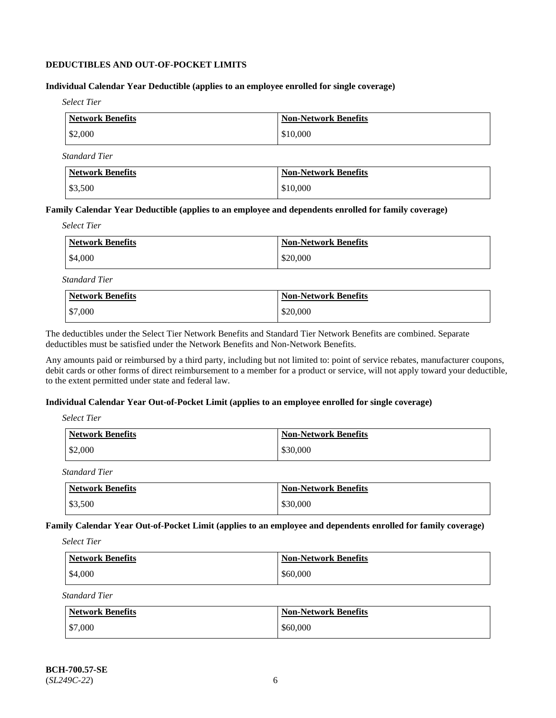### **DEDUCTIBLES AND OUT-OF-POCKET LIMITS**

### **Individual Calendar Year Deductible (applies to an employee enrolled for single coverage)**

*Select Tier*

| <b>Network Benefits</b> | Non-Network Benefits |
|-------------------------|----------------------|
| \$2,000                 | \$10,000             |

*Standard Tier*

| <b>Network Benefits</b> | Non-Network Benefits |
|-------------------------|----------------------|
| \$3,500                 | \$10,000             |

#### **Family Calendar Year Deductible (applies to an employee and dependents enrolled for family coverage)**

*Select Tier*

| Network Benefits | <b>Non-Network Benefits</b> |
|------------------|-----------------------------|
| \$4,000          | \$20,000                    |

*Standard Tier*

| <b>Network Benefits</b> | <b>Non-Network Benefits</b> |
|-------------------------|-----------------------------|
| \$7,000                 | \$20,000                    |

The deductibles under the Select Tier Network Benefits and Standard Tier Network Benefits are combined. Separate deductibles must be satisfied under the Network Benefits and Non-Network Benefits.

Any amounts paid or reimbursed by a third party, including but not limited to: point of service rebates, manufacturer coupons, debit cards or other forms of direct reimbursement to a member for a product or service, will not apply toward your deductible, to the extent permitted under state and federal law.

### **Individual Calendar Year Out-of-Pocket Limit (applies to an employee enrolled for single coverage)**

*Select Tier*

| <b>Network Benefits</b> | <b>Non-Network Benefits</b> |
|-------------------------|-----------------------------|
| \$2,000                 | \$30,000                    |

*Standard Tier*

| <b>Network Benefits</b> | <b>Non-Network Benefits</b> |
|-------------------------|-----------------------------|
| \$3,500                 | \$30,000                    |

**Family Calendar Year Out-of-Pocket Limit (applies to an employee and dependents enrolled for family coverage)**

*Select Tier*

| <b>Network Benefits</b> | <b>Non-Network Benefits</b> |
|-------------------------|-----------------------------|
| \$4,000                 | \$60,000                    |

*Standard Tier*

| Network Benefits | <b>Non-Network Benefits</b> |
|------------------|-----------------------------|
| \$7,000          | \$60,000                    |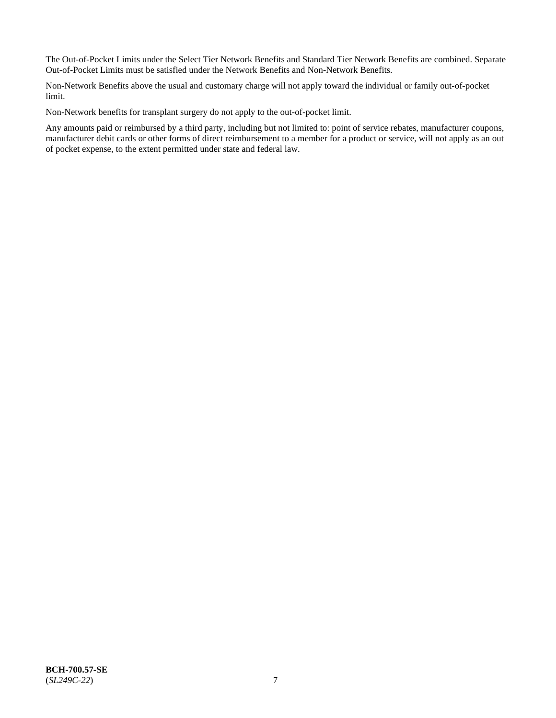The Out-of-Pocket Limits under the Select Tier Network Benefits and Standard Tier Network Benefits are combined. Separate Out-of-Pocket Limits must be satisfied under the Network Benefits and Non-Network Benefits.

Non-Network Benefits above the usual and customary charge will not apply toward the individual or family out-of-pocket limit.

Non-Network benefits for transplant surgery do not apply to the out-of-pocket limit.

Any amounts paid or reimbursed by a third party, including but not limited to: point of service rebates, manufacturer coupons, manufacturer debit cards or other forms of direct reimbursement to a member for a product or service, will not apply as an out of pocket expense, to the extent permitted under state and federal law.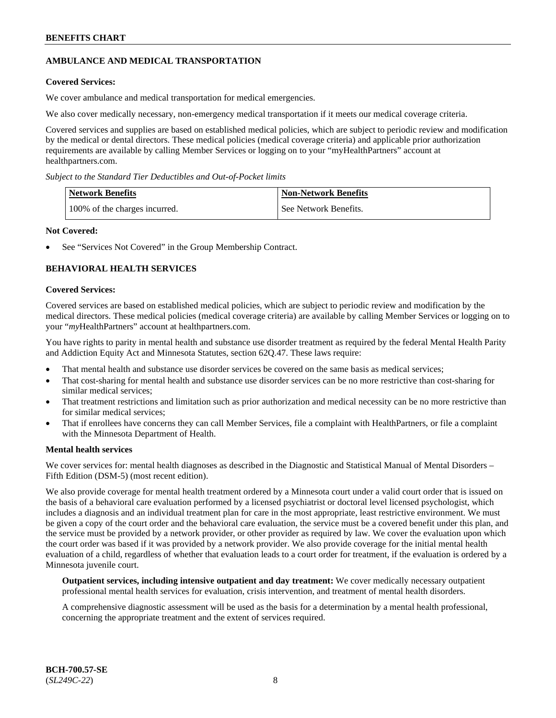# **AMBULANCE AND MEDICAL TRANSPORTATION**

# **Covered Services:**

We cover ambulance and medical transportation for medical emergencies.

We also cover medically necessary, non-emergency medical transportation if it meets our medical coverage criteria.

Covered services and supplies are based on established medical policies, which are subject to periodic review and modification by the medical or dental directors. These medical policies (medical coverage criteria) and applicable prior authorization requirements are available by calling Member Services or logging on to your "myHealthPartners" account at [healthpartners.com.](https://www.healthpartners.com/hp/index.html)

*Subject to the Standard Tier Deductibles and Out-of-Pocket limits*

| <b>Network Benefits</b>       | <b>Non-Network Benefits</b> |
|-------------------------------|-----------------------------|
| 100% of the charges incurred. | See Network Benefits.       |

### **Not Covered:**

See "Services Not Covered" in the Group Membership Contract.

# **BEHAVIORAL HEALTH SERVICES**

#### **Covered Services:**

Covered services are based on established medical policies, which are subject to periodic review and modification by the medical directors. These medical policies (medical coverage criteria) are available by calling Member Services or logging on to your "*my*HealthPartners" account at [healthpartners.com.](http://www.healthpartners.com/)

You have rights to parity in mental health and substance use disorder treatment as required by the federal Mental Health Parity and Addiction Equity Act and Minnesota Statutes, section 62Q.47. These laws require:

- That mental health and substance use disorder services be covered on the same basis as medical services;
- That cost-sharing for mental health and substance use disorder services can be no more restrictive than cost-sharing for similar medical services;
- That treatment restrictions and limitation such as prior authorization and medical necessity can be no more restrictive than for similar medical services;
- That if enrollees have concerns they can call Member Services, file a complaint with HealthPartners, or file a complaint with the Minnesota Department of Health.

### **Mental health services**

We cover services for: mental health diagnoses as described in the Diagnostic and Statistical Manual of Mental Disorders – Fifth Edition (DSM-5) (most recent edition).

We also provide coverage for mental health treatment ordered by a Minnesota court under a valid court order that is issued on the basis of a behavioral care evaluation performed by a licensed psychiatrist or doctoral level licensed psychologist, which includes a diagnosis and an individual treatment plan for care in the most appropriate, least restrictive environment. We must be given a copy of the court order and the behavioral care evaluation, the service must be a covered benefit under this plan, and the service must be provided by a network provider, or other provider as required by law. We cover the evaluation upon which the court order was based if it was provided by a network provider. We also provide coverage for the initial mental health evaluation of a child, regardless of whether that evaluation leads to a court order for treatment, if the evaluation is ordered by a Minnesota juvenile court.

**Outpatient services, including intensive outpatient and day treatment:** We cover medically necessary outpatient professional mental health services for evaluation, crisis intervention, and treatment of mental health disorders.

A comprehensive diagnostic assessment will be used as the basis for a determination by a mental health professional, concerning the appropriate treatment and the extent of services required.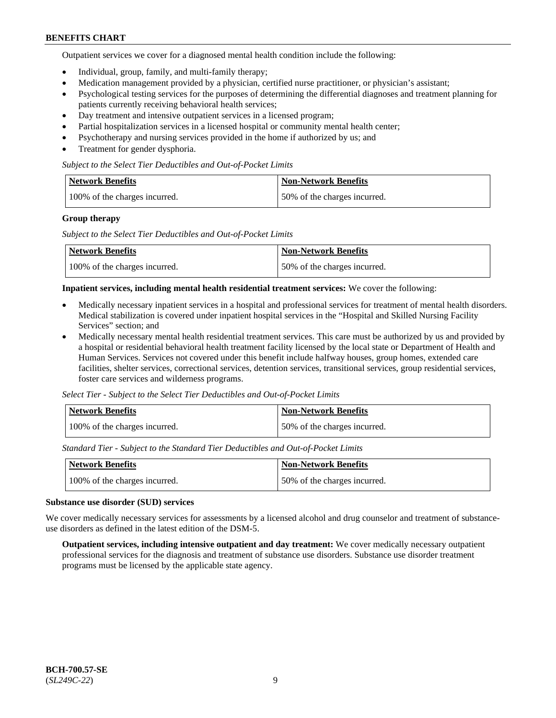Outpatient services we cover for a diagnosed mental health condition include the following:

- Individual, group, family, and multi-family therapy;
- Medication management provided by a physician, certified nurse practitioner, or physician's assistant;
- Psychological testing services for the purposes of determining the differential diagnoses and treatment planning for patients currently receiving behavioral health services;
- Day treatment and intensive outpatient services in a licensed program;
- Partial hospitalization services in a licensed hospital or community mental health center;
- Psychotherapy and nursing services provided in the home if authorized by us; and
- Treatment for gender dysphoria.

#### *Subject to the Select Tier Deductibles and Out-of-Pocket Limits*

| Network Benefits              | <b>Non-Network Benefits</b>  |
|-------------------------------|------------------------------|
| 100% of the charges incurred. | 50% of the charges incurred. |

#### **Group therapy**

*Subject to the Select Tier Deductibles and Out-of-Pocket Limits*

| Network Benefits              | Non-Network Benefits         |
|-------------------------------|------------------------------|
| 100% of the charges incurred. | 50% of the charges incurred. |

#### **Inpatient services, including mental health residential treatment services:** We cover the following:

- Medically necessary inpatient services in a hospital and professional services for treatment of mental health disorders. Medical stabilization is covered under inpatient hospital services in the "Hospital and Skilled Nursing Facility Services" section; and
- Medically necessary mental health residential treatment services. This care must be authorized by us and provided by a hospital or residential behavioral health treatment facility licensed by the local state or Department of Health and Human Services. Services not covered under this benefit include halfway houses, group homes, extended care facilities, shelter services, correctional services, detention services, transitional services, group residential services, foster care services and wilderness programs.

*Select Tier - Subject to the Select Tier Deductibles and Out-of-Pocket Limits*

| Network Benefits              | Non-Network Benefits         |
|-------------------------------|------------------------------|
| 100% of the charges incurred. | 50% of the charges incurred. |

*Standard Tier - Subject to the Standard Tier Deductibles and Out-of-Pocket Limits*

| <b>Network Benefits</b>       | <b>Non-Network Benefits</b>  |
|-------------------------------|------------------------------|
| 100% of the charges incurred. | 50% of the charges incurred. |

#### **Substance use disorder (SUD) services**

We cover medically necessary services for assessments by a licensed alcohol and drug counselor and treatment of substanceuse disorders as defined in the latest edition of the DSM-5.

**Outpatient services, including intensive outpatient and day treatment:** We cover medically necessary outpatient professional services for the diagnosis and treatment of substance use disorders. Substance use disorder treatment programs must be licensed by the applicable state agency.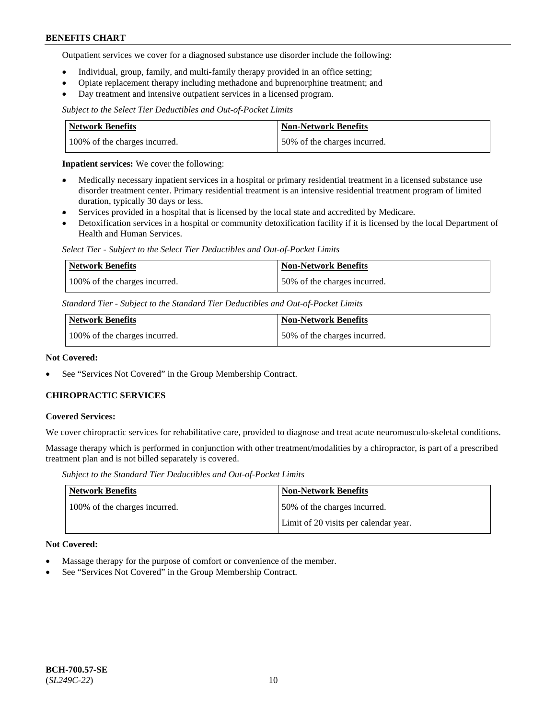Outpatient services we cover for a diagnosed substance use disorder include the following:

- Individual, group, family, and multi-family therapy provided in an office setting;
- Opiate replacement therapy including methadone and buprenorphine treatment; and
- Day treatment and intensive outpatient services in a licensed program.

*Subject to the Select Tier Deductibles and Out-of-Pocket Limits*

| Network Benefits              | <b>Non-Network Benefits</b>  |
|-------------------------------|------------------------------|
| 100% of the charges incurred. | 50% of the charges incurred. |

**Inpatient services:** We cover the following:

- Medically necessary inpatient services in a hospital or primary residential treatment in a licensed substance use disorder treatment center. Primary residential treatment is an intensive residential treatment program of limited duration, typically 30 days or less.
- Services provided in a hospital that is licensed by the local state and accredited by Medicare.
- Detoxification services in a hospital or community detoxification facility if it is licensed by the local Department of Health and Human Services.

*Select Tier - Subject to the Select Tier Deductibles and Out-of-Pocket Limits*

| Network Benefits              | Non-Network Benefits         |
|-------------------------------|------------------------------|
| 100% of the charges incurred. | 50% of the charges incurred. |

*Standard Tier - Subject to the Standard Tier Deductibles and Out-of-Pocket Limits*

| <b>Network Benefits</b>       | <b>Non-Network Benefits</b>  |
|-------------------------------|------------------------------|
| 100% of the charges incurred. | 50% of the charges incurred. |

#### **Not Covered:**

See "Services Not Covered" in the Group Membership Contract.

### **CHIROPRACTIC SERVICES**

#### **Covered Services:**

We cover chiropractic services for rehabilitative care, provided to diagnose and treat acute neuromusculo-skeletal conditions.

Massage therapy which is performed in conjunction with other treatment/modalities by a chiropractor, is part of a prescribed treatment plan and is not billed separately is covered.

*Subject to the Standard Tier Deductibles and Out-of-Pocket Limits*

| <b>Network Benefits</b>       | <b>Non-Network Benefits</b>           |
|-------------------------------|---------------------------------------|
| 100% of the charges incurred. | 50% of the charges incurred.          |
|                               | Limit of 20 visits per calendar year. |

#### **Not Covered:**

- Massage therapy for the purpose of comfort or convenience of the member.
- See "Services Not Covered" in the Group Membership Contract.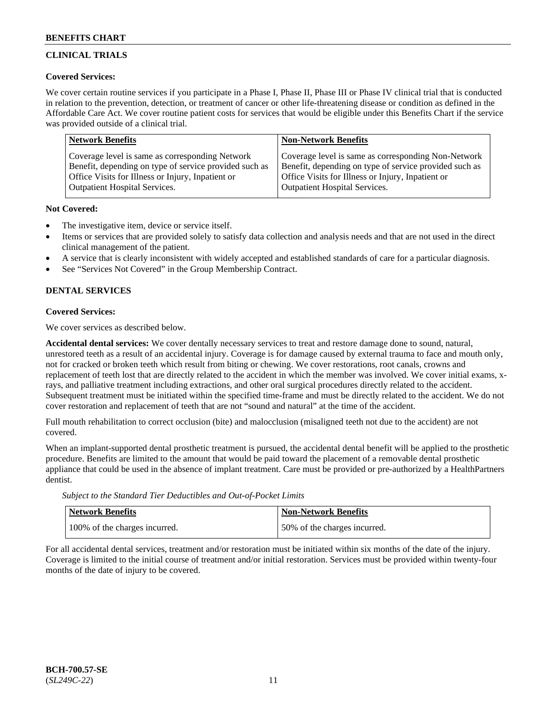# **CLINICAL TRIALS**

### **Covered Services:**

We cover certain routine services if you participate in a Phase I, Phase II, Phase III or Phase IV clinical trial that is conducted in relation to the prevention, detection, or treatment of cancer or other life-threatening disease or condition as defined in the Affordable Care Act. We cover routine patient costs for services that would be eligible under this Benefits Chart if the service was provided outside of a clinical trial.

| <b>Network Benefits</b>                                | <b>Non-Network Benefits</b>                            |
|--------------------------------------------------------|--------------------------------------------------------|
| Coverage level is same as corresponding Network        | Coverage level is same as corresponding Non-Network    |
| Benefit, depending on type of service provided such as | Benefit, depending on type of service provided such as |
| Office Visits for Illness or Injury, Inpatient or      | Office Visits for Illness or Injury, Inpatient or      |
| <b>Outpatient Hospital Services.</b>                   | <b>Outpatient Hospital Services.</b>                   |

### **Not Covered:**

- The investigative item, device or service itself.
- Items or services that are provided solely to satisfy data collection and analysis needs and that are not used in the direct clinical management of the patient.
- A service that is clearly inconsistent with widely accepted and established standards of care for a particular diagnosis.
- See "Services Not Covered" in the Group Membership Contract.

# **DENTAL SERVICES**

# **Covered Services:**

We cover services as described below.

**Accidental dental services:** We cover dentally necessary services to treat and restore damage done to sound, natural, unrestored teeth as a result of an accidental injury. Coverage is for damage caused by external trauma to face and mouth only, not for cracked or broken teeth which result from biting or chewing. We cover restorations, root canals, crowns and replacement of teeth lost that are directly related to the accident in which the member was involved. We cover initial exams, xrays, and palliative treatment including extractions, and other oral surgical procedures directly related to the accident. Subsequent treatment must be initiated within the specified time-frame and must be directly related to the accident. We do not cover restoration and replacement of teeth that are not "sound and natural" at the time of the accident.

Full mouth rehabilitation to correct occlusion (bite) and malocclusion (misaligned teeth not due to the accident) are not covered.

When an implant-supported dental prosthetic treatment is pursued, the accidental dental benefit will be applied to the prosthetic procedure. Benefits are limited to the amount that would be paid toward the placement of a removable dental prosthetic appliance that could be used in the absence of implant treatment. Care must be provided or pre-authorized by a HealthPartners dentist.

*Subject to the Standard Tier Deductibles and Out-of-Pocket Limits*

| <b>Network Benefits</b>       | Non-Network Benefits         |
|-------------------------------|------------------------------|
| 100% of the charges incurred. | 50% of the charges incurred. |

For all accidental dental services, treatment and/or restoration must be initiated within six months of the date of the injury. Coverage is limited to the initial course of treatment and/or initial restoration. Services must be provided within twenty-four months of the date of injury to be covered.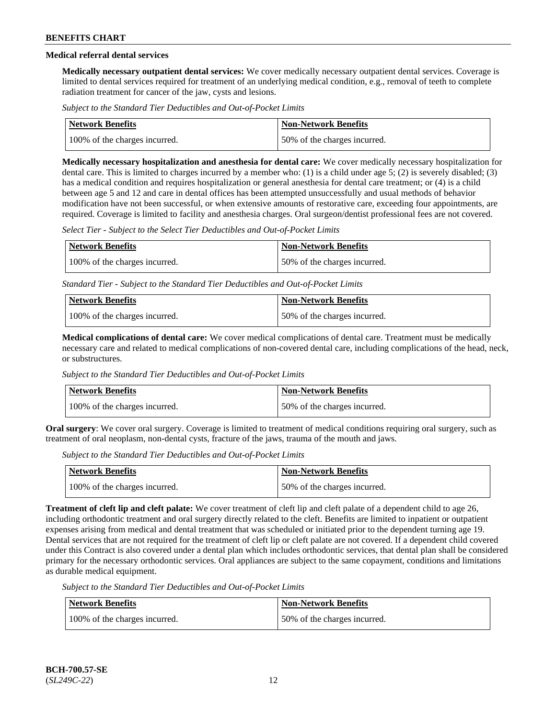# **Medical referral dental services**

**Medically necessary outpatient dental services:** We cover medically necessary outpatient dental services. Coverage is limited to dental services required for treatment of an underlying medical condition, e.g., removal of teeth to complete radiation treatment for cancer of the jaw, cysts and lesions.

*Subject to the Standard Tier Deductibles and Out-of-Pocket Limits*

| Network Benefits              | Non-Network Benefits         |
|-------------------------------|------------------------------|
| 100% of the charges incurred. | 50% of the charges incurred. |

**Medically necessary hospitalization and anesthesia for dental care:** We cover medically necessary hospitalization for dental care. This is limited to charges incurred by a member who: (1) is a child under age 5; (2) is severely disabled; (3) has a medical condition and requires hospitalization or general anesthesia for dental care treatment; or (4) is a child between age 5 and 12 and care in dental offices has been attempted unsuccessfully and usual methods of behavior modification have not been successful, or when extensive amounts of restorative care, exceeding four appointments, are required. Coverage is limited to facility and anesthesia charges. Oral surgeon/dentist professional fees are not covered.

*Select Tier - Subject to the Select Tier Deductibles and Out-of-Pocket Limits*

| Network Benefits              | Non-Network Benefits         |
|-------------------------------|------------------------------|
| 100% of the charges incurred. | 50% of the charges incurred. |

*Standard Tier - Subject to the Standard Tier Deductibles and Out-of-Pocket Limits*

| <b>Network Benefits</b>       | <b>Non-Network Benefits</b>  |
|-------------------------------|------------------------------|
| 100% of the charges incurred. | 50% of the charges incurred. |

**Medical complications of dental care:** We cover medical complications of dental care. Treatment must be medically necessary care and related to medical complications of non-covered dental care, including complications of the head, neck, or substructures.

*Subject to the Standard Tier Deductibles and Out-of-Pocket Limits*

| <b>Network Benefits</b>       | Non-Network Benefits         |
|-------------------------------|------------------------------|
| 100% of the charges incurred. | 50% of the charges incurred. |

**Oral surgery**: We cover oral surgery. Coverage is limited to treatment of medical conditions requiring oral surgery, such as treatment of oral neoplasm, non-dental cysts, fracture of the jaws, trauma of the mouth and jaws.

*Subject to the Standard Tier Deductibles and Out-of-Pocket Limits*

| <b>Network Benefits</b>       | <b>Non-Network Benefits</b>  |
|-------------------------------|------------------------------|
| 100% of the charges incurred. | 50% of the charges incurred. |

**Treatment of cleft lip and cleft palate:** We cover treatment of cleft lip and cleft palate of a dependent child to age 26, including orthodontic treatment and oral surgery directly related to the cleft. Benefits are limited to inpatient or outpatient expenses arising from medical and dental treatment that was scheduled or initiated prior to the dependent turning age 19. Dental services that are not required for the treatment of cleft lip or cleft palate are not covered. If a dependent child covered under this Contract is also covered under a dental plan which includes orthodontic services, that dental plan shall be considered primary for the necessary orthodontic services. Oral appliances are subject to the same copayment, conditions and limitations as durable medical equipment.

*Subject to the Standard Tier Deductibles and Out-of-Pocket Limits*

| <b>Network Benefits</b>       | <b>Non-Network Benefits</b>  |
|-------------------------------|------------------------------|
| 100% of the charges incurred. | 50% of the charges incurred. |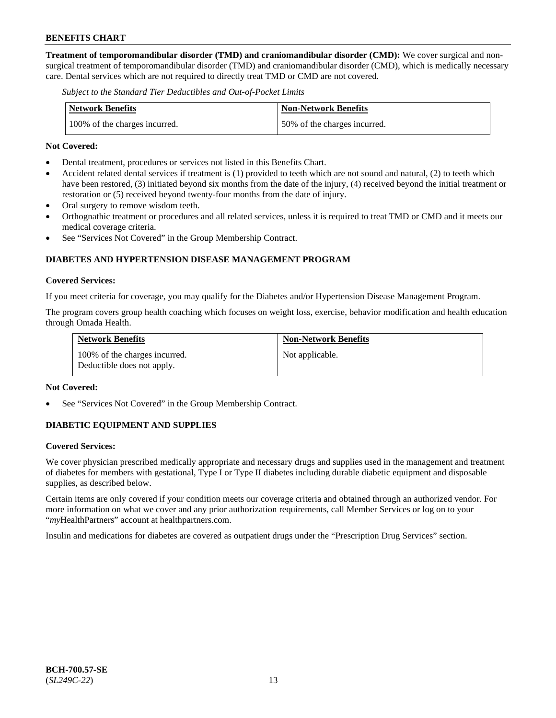**Treatment of temporomandibular disorder (TMD) and craniomandibular disorder (CMD):** We cover surgical and nonsurgical treatment of temporomandibular disorder (TMD) and craniomandibular disorder (CMD), which is medically necessary care. Dental services which are not required to directly treat TMD or CMD are not covered.

*Subject to the Standard Tier Deductibles and Out-of-Pocket Limits*

| <b>Network Benefits</b>       | <b>Non-Network Benefits</b>  |
|-------------------------------|------------------------------|
| 100% of the charges incurred. | 50% of the charges incurred. |

#### **Not Covered:**

- Dental treatment, procedures or services not listed in this Benefits Chart.
- Accident related dental services if treatment is (1) provided to teeth which are not sound and natural, (2) to teeth which have been restored, (3) initiated beyond six months from the date of the injury, (4) received beyond the initial treatment or restoration or (5) received beyond twenty-four months from the date of injury.
- Oral surgery to remove wisdom teeth.
- Orthognathic treatment or procedures and all related services, unless it is required to treat TMD or CMD and it meets our medical coverage criteria.
- See "Services Not Covered" in the Group Membership Contract.

# **DIABETES AND HYPERTENSION DISEASE MANAGEMENT PROGRAM**

#### **Covered Services:**

If you meet criteria for coverage, you may qualify for the Diabetes and/or Hypertension Disease Management Program.

The program covers group health coaching which focuses on weight loss, exercise, behavior modification and health education through Omada Health.

| <b>Network Benefits</b>                                     | <b>Non-Network Benefits</b> |
|-------------------------------------------------------------|-----------------------------|
| 100% of the charges incurred.<br>Deductible does not apply. | Not applicable.             |

#### **Not Covered:**

See "Services Not Covered" in the Group Membership Contract.

### **DIABETIC EQUIPMENT AND SUPPLIES**

### **Covered Services:**

We cover physician prescribed medically appropriate and necessary drugs and supplies used in the management and treatment of diabetes for members with gestational, Type I or Type II diabetes including durable diabetic equipment and disposable supplies, as described below.

Certain items are only covered if your condition meets our coverage criteria and obtained through an authorized vendor. For more information on what we cover and any prior authorization requirements, call Member Services or log on to your "*my*HealthPartners" account at [healthpartners.com.](http://www.healthpartners.com/)

Insulin and medications for diabetes are covered as outpatient drugs under the "Prescription Drug Services" section.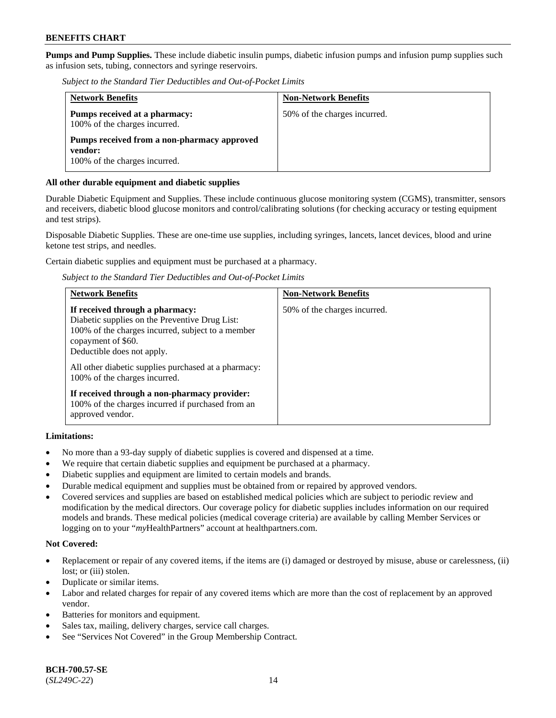**Pumps and Pump Supplies.** These include diabetic insulin pumps, diabetic infusion pumps and infusion pump supplies such as infusion sets, tubing, connectors and syringe reservoirs.

*Subject to the Standard Tier Deductibles and Out-of-Pocket Limits*

| <b>Network Benefits</b>                                                                 | <b>Non-Network Benefits</b>  |
|-----------------------------------------------------------------------------------------|------------------------------|
| Pumps received at a pharmacy:<br>100% of the charges incurred.                          | 50% of the charges incurred. |
| Pumps received from a non-pharmacy approved<br>vendor:<br>100% of the charges incurred. |                              |

### **All other durable equipment and diabetic supplies**

Durable Diabetic Equipment and Supplies. These include continuous glucose monitoring system (CGMS), transmitter, sensors and receivers, diabetic blood glucose monitors and control/calibrating solutions (for checking accuracy or testing equipment and test strips).

Disposable Diabetic Supplies. These are one-time use supplies, including syringes, lancets, lancet devices, blood and urine ketone test strips, and needles.

Certain diabetic supplies and equipment must be purchased at a pharmacy.

*Subject to the Standard Tier Deductibles and Out-of-Pocket Limits*

| <b>Network Benefits</b>                                                                                                                                                                                                                                                             | <b>Non-Network Benefits</b>  |
|-------------------------------------------------------------------------------------------------------------------------------------------------------------------------------------------------------------------------------------------------------------------------------------|------------------------------|
| If received through a pharmacy:<br>Diabetic supplies on the Preventive Drug List:<br>100% of the charges incurred, subject to a member<br>copayment of \$60.<br>Deductible does not apply.<br>All other diabetic supplies purchased at a pharmacy:<br>100% of the charges incurred. | 50% of the charges incurred. |
| If received through a non-pharmacy provider:<br>100% of the charges incurred if purchased from an<br>approved vendor.                                                                                                                                                               |                              |

### **Limitations:**

- No more than a 93-day supply of diabetic supplies is covered and dispensed at a time.
- We require that certain diabetic supplies and equipment be purchased at a pharmacy.
- Diabetic supplies and equipment are limited to certain models and brands.
- Durable medical equipment and supplies must be obtained from or repaired by approved vendors.
- Covered services and supplies are based on established medical policies which are subject to periodic review and modification by the medical directors. Our coverage policy for diabetic supplies includes information on our required models and brands. These medical policies (medical coverage criteria) are available by calling Member Services or logging on to your "*my*HealthPartners" account at [healthpartners.com.](http://www.healthpartners.com/)

### **Not Covered:**

- Replacement or repair of any covered items, if the items are (i) damaged or destroyed by misuse, abuse or carelessness, (ii) lost; or (iii) stolen.
- Duplicate or similar items.
- Labor and related charges for repair of any covered items which are more than the cost of replacement by an approved vendor.
- Batteries for monitors and equipment.
- Sales tax, mailing, delivery charges, service call charges.
- See "Services Not Covered" in the Group Membership Contract.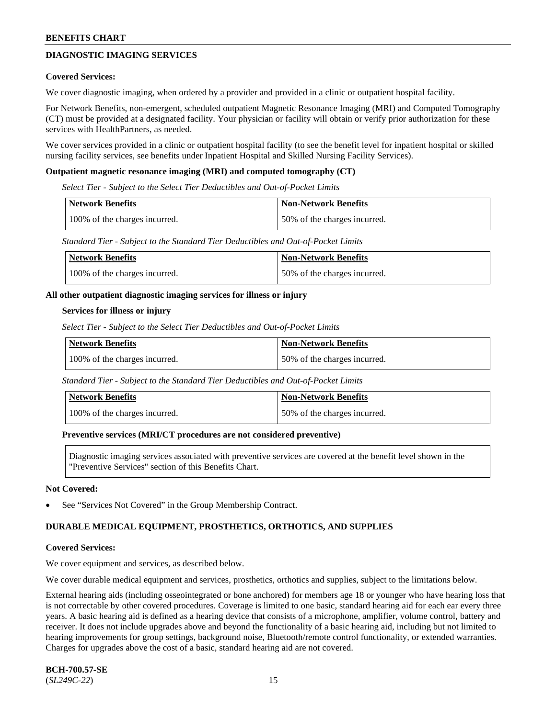# **DIAGNOSTIC IMAGING SERVICES**

#### **Covered Services:**

We cover diagnostic imaging, when ordered by a provider and provided in a clinic or outpatient hospital facility.

For Network Benefits, non-emergent, scheduled outpatient Magnetic Resonance Imaging (MRI) and Computed Tomography (CT) must be provided at a designated facility. Your physician or facility will obtain or verify prior authorization for these services with HealthPartners, as needed.

We cover services provided in a clinic or outpatient hospital facility (to see the benefit level for inpatient hospital or skilled nursing facility services, see benefits under Inpatient Hospital and Skilled Nursing Facility Services).

#### **Outpatient magnetic resonance imaging (MRI) and computed tomography (CT)**

*Select Tier - Subject to the Select Tier Deductibles and Out-of-Pocket Limits*

| Network Benefits              | <b>Non-Network Benefits</b>  |
|-------------------------------|------------------------------|
| 100% of the charges incurred. | 50% of the charges incurred. |

*Standard Tier - Subject to the Standard Tier Deductibles and Out-of-Pocket Limits*

| <b>Network Benefits</b>       | <b>Non-Network Benefits</b>  |
|-------------------------------|------------------------------|
| 100% of the charges incurred. | 50% of the charges incurred. |

#### **All other outpatient diagnostic imaging services for illness or injury**

#### **Services for illness or injury**

*Select Tier - Subject to the Select Tier Deductibles and Out-of-Pocket Limits*

| Network Benefits              | <b>Non-Network Benefits</b>  |
|-------------------------------|------------------------------|
| 100% of the charges incurred. | 50% of the charges incurred. |

*Standard Tier - Subject to the Standard Tier Deductibles and Out-of-Pocket Limits*

| <b>Network Benefits</b>       | <b>Non-Network Benefits</b>  |
|-------------------------------|------------------------------|
| 100% of the charges incurred. | 50% of the charges incurred. |

#### **Preventive services (MRI/CT procedures are not considered preventive)**

Diagnostic imaging services associated with preventive services are covered at the benefit level shown in the "Preventive Services" section of this Benefits Chart.

#### **Not Covered:**

See "Services Not Covered" in the Group Membership Contract.

### **DURABLE MEDICAL EQUIPMENT, PROSTHETICS, ORTHOTICS, AND SUPPLIES**

#### **Covered Services:**

We cover equipment and services, as described below.

We cover durable medical equipment and services, prosthetics, orthotics and supplies, subject to the limitations below.

External hearing aids (including osseointegrated or bone anchored) for members age 18 or younger who have hearing loss that is not correctable by other covered procedures. Coverage is limited to one basic, standard hearing aid for each ear every three years. A basic hearing aid is defined as a hearing device that consists of a microphone, amplifier, volume control, battery and receiver. It does not include upgrades above and beyond the functionality of a basic hearing aid, including but not limited to hearing improvements for group settings, background noise, Bluetooth/remote control functionality, or extended warranties. Charges for upgrades above the cost of a basic, standard hearing aid are not covered.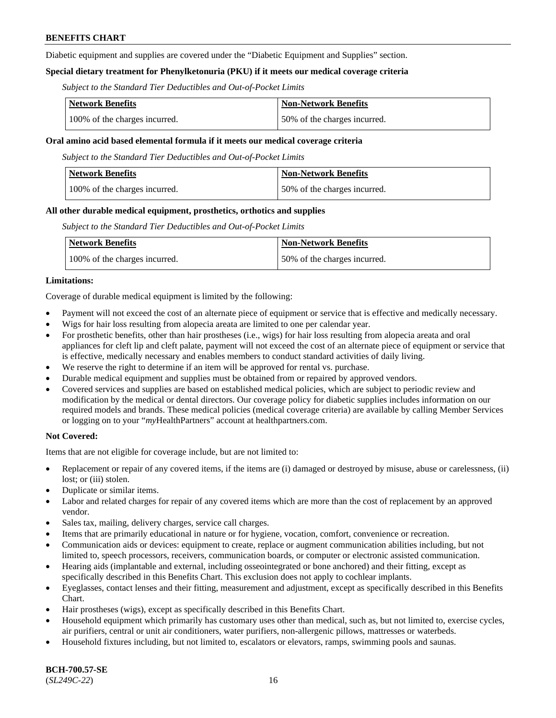Diabetic equipment and supplies are covered under the "Diabetic Equipment and Supplies" section.

### **Special dietary treatment for Phenylketonuria (PKU) if it meets our medical coverage criteria**

*Subject to the Standard Tier Deductibles and Out-of-Pocket Limits*

| <b>Network Benefits</b>       | <b>Non-Network Benefits</b>  |
|-------------------------------|------------------------------|
| 100% of the charges incurred. | 50% of the charges incurred. |

#### **Oral amino acid based elemental formula if it meets our medical coverage criteria**

*Subject to the Standard Tier Deductibles and Out-of-Pocket Limits*

| <b>Network Benefits</b>       | <b>Non-Network Benefits</b>  |
|-------------------------------|------------------------------|
| 100% of the charges incurred. | 50% of the charges incurred. |

#### **All other durable medical equipment, prosthetics, orthotics and supplies**

*Subject to the Standard Tier Deductibles and Out-of-Pocket Limits*

| <b>Network Benefits</b>       | Non-Network Benefits         |
|-------------------------------|------------------------------|
| 100% of the charges incurred. | 50% of the charges incurred. |

#### **Limitations:**

Coverage of durable medical equipment is limited by the following:

- Payment will not exceed the cost of an alternate piece of equipment or service that is effective and medically necessary.
- Wigs for hair loss resulting from alopecia areata are limited to one per calendar year.
- For prosthetic benefits, other than hair prostheses (i.e., wigs) for hair loss resulting from alopecia areata and oral appliances for cleft lip and cleft palate, payment will not exceed the cost of an alternate piece of equipment or service that is effective, medically necessary and enables members to conduct standard activities of daily living.
- We reserve the right to determine if an item will be approved for rental vs. purchase.
- Durable medical equipment and supplies must be obtained from or repaired by approved vendors.
- Covered services and supplies are based on established medical policies, which are subject to periodic review and modification by the medical or dental directors. Our coverage policy for diabetic supplies includes information on our required models and brands. These medical policies (medical coverage criteria) are available by calling Member Services or logging on to your "*my*HealthPartners" account a[t healthpartners.com.](https://www.healthpartners.com/hp/index.html)

### **Not Covered:**

Items that are not eligible for coverage include, but are not limited to:

- Replacement or repair of any covered items, if the items are (i) damaged or destroyed by misuse, abuse or carelessness, (ii) lost; or (iii) stolen.
- Duplicate or similar items.
- Labor and related charges for repair of any covered items which are more than the cost of replacement by an approved vendor.
- Sales tax, mailing, delivery charges, service call charges.
- Items that are primarily educational in nature or for hygiene, vocation, comfort, convenience or recreation.
- Communication aids or devices: equipment to create, replace or augment communication abilities including, but not limited to, speech processors, receivers, communication boards, or computer or electronic assisted communication.
- Hearing aids (implantable and external, including osseointegrated or bone anchored) and their fitting, except as specifically described in this Benefits Chart. This exclusion does not apply to cochlear implants.
- Eyeglasses, contact lenses and their fitting, measurement and adjustment, except as specifically described in this Benefits Chart.
- Hair prostheses (wigs), except as specifically described in this Benefits Chart.
- Household equipment which primarily has customary uses other than medical, such as, but not limited to, exercise cycles, air purifiers, central or unit air conditioners, water purifiers, non-allergenic pillows, mattresses or waterbeds.
- Household fixtures including, but not limited to, escalators or elevators, ramps, swimming pools and saunas.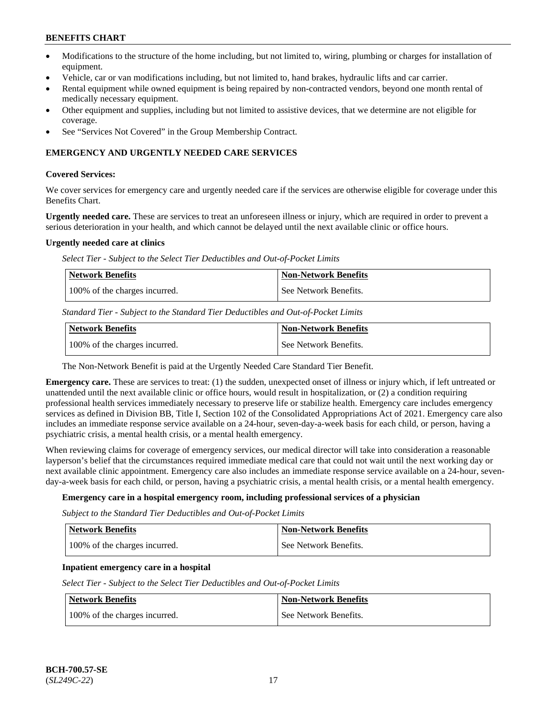- Modifications to the structure of the home including, but not limited to, wiring, plumbing or charges for installation of equipment.
- Vehicle, car or van modifications including, but not limited to, hand brakes, hydraulic lifts and car carrier.
- Rental equipment while owned equipment is being repaired by non-contracted vendors, beyond one month rental of medically necessary equipment.
- Other equipment and supplies, including but not limited to assistive devices, that we determine are not eligible for coverage.
- See "Services Not Covered" in the Group Membership Contract.

### **EMERGENCY AND URGENTLY NEEDED CARE SERVICES**

#### **Covered Services:**

We cover services for emergency care and urgently needed care if the services are otherwise eligible for coverage under this Benefits Chart.

**Urgently needed care.** These are services to treat an unforeseen illness or injury, which are required in order to prevent a serious deterioration in your health, and which cannot be delayed until the next available clinic or office hours.

#### **Urgently needed care at clinics**

*Select Tier - Subject to the Select Tier Deductibles and Out-of-Pocket Limits*

| Network Benefits              | <b>Non-Network Benefits</b> |
|-------------------------------|-----------------------------|
| 100% of the charges incurred. | l See Network Benefits.     |

*Standard Tier - Subject to the Standard Tier Deductibles and Out-of-Pocket Limits*

| Network Benefits              | <b>Non-Network Benefits</b> |
|-------------------------------|-----------------------------|
| 100% of the charges incurred. | See Network Benefits.       |

The Non-Network Benefit is paid at the Urgently Needed Care Standard Tier Benefit.

**Emergency care.** These are services to treat: (1) the sudden, unexpected onset of illness or injury which, if left untreated or unattended until the next available clinic or office hours, would result in hospitalization, or (2) a condition requiring professional health services immediately necessary to preserve life or stabilize health. Emergency care includes emergency services as defined in Division BB, Title I, Section 102 of the Consolidated Appropriations Act of 2021. Emergency care also includes an immediate response service available on a 24-hour, seven-day-a-week basis for each child, or person, having a psychiatric crisis, a mental health crisis, or a mental health emergency.

When reviewing claims for coverage of emergency services, our medical director will take into consideration a reasonable layperson's belief that the circumstances required immediate medical care that could not wait until the next working day or next available clinic appointment. Emergency care also includes an immediate response service available on a 24-hour, sevenday-a-week basis for each child, or person, having a psychiatric crisis, a mental health crisis, or a mental health emergency.

### **Emergency care in a hospital emergency room, including professional services of a physician**

*Subject to the Standard Tier Deductibles and Out-of-Pocket Limits*

| <b>Network Benefits</b>       | Non-Network Benefits  |
|-------------------------------|-----------------------|
| 100% of the charges incurred. | See Network Benefits. |

### **Inpatient emergency care in a hospital**

*Select Tier - Subject to the Select Tier Deductibles and Out-of-Pocket Limits*

| Network Benefits              | <b>Non-Network Benefits</b> |
|-------------------------------|-----------------------------|
| 100% of the charges incurred. | See Network Benefits.       |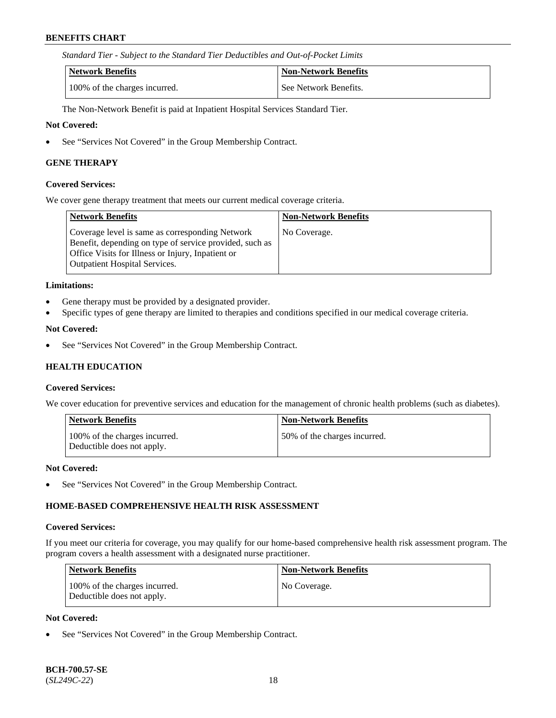*Standard Tier - Subject to the Standard Tier Deductibles and Out-of-Pocket Limits*

| Network Benefits              | <b>Non-Network Benefits</b> |
|-------------------------------|-----------------------------|
| 100% of the charges incurred. | See Network Benefits.       |

The Non-Network Benefit is paid at Inpatient Hospital Services Standard Tier.

#### **Not Covered:**

• See "Services Not Covered" in the Group Membership Contract.

#### **GENE THERAPY**

#### **Covered Services:**

We cover gene therapy treatment that meets our current medical coverage criteria.

| Network Benefits                                                                                                                                                                                        | <b>Non-Network Benefits</b> |
|---------------------------------------------------------------------------------------------------------------------------------------------------------------------------------------------------------|-----------------------------|
| Coverage level is same as corresponding Network<br>Benefit, depending on type of service provided, such as<br>Office Visits for Illness or Injury, Inpatient or<br><b>Outpatient Hospital Services.</b> | No Coverage.                |

#### **Limitations:**

- Gene therapy must be provided by a designated provider.
- Specific types of gene therapy are limited to therapies and conditions specified in our medical coverage criteria.

### **Not Covered:**

• See "Services Not Covered" in the Group Membership Contract.

### **HEALTH EDUCATION**

#### **Covered Services:**

We cover education for preventive services and education for the management of chronic health problems (such as diabetes).

| <b>Network Benefits</b>                                     | <b>Non-Network Benefits</b>  |
|-------------------------------------------------------------|------------------------------|
| 100% of the charges incurred.<br>Deductible does not apply. | 50% of the charges incurred. |

#### **Not Covered:**

See "Services Not Covered" in the Group Membership Contract.

### **HOME-BASED COMPREHENSIVE HEALTH RISK ASSESSMENT**

#### **Covered Services:**

If you meet our criteria for coverage, you may qualify for our home-based comprehensive health risk assessment program. The program covers a health assessment with a designated nurse practitioner.

| <b>Network Benefits</b>                                     | <b>Non-Network Benefits</b> |
|-------------------------------------------------------------|-----------------------------|
| 100% of the charges incurred.<br>Deductible does not apply. | No Coverage.                |

### **Not Covered:**

See "Services Not Covered" in the Group Membership Contract.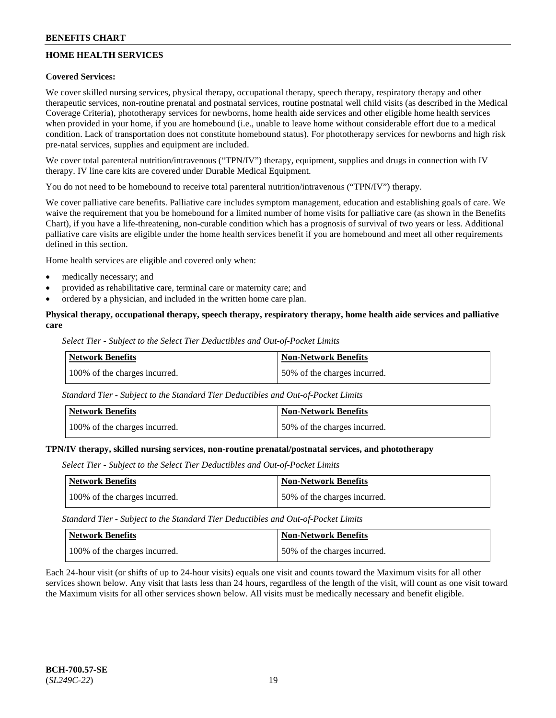# **HOME HEALTH SERVICES**

### **Covered Services:**

We cover skilled nursing services, physical therapy, occupational therapy, speech therapy, respiratory therapy and other therapeutic services, non-routine prenatal and postnatal services, routine postnatal well child visits (as described in the Medical Coverage Criteria), phototherapy services for newborns, home health aide services and other eligible home health services when provided in your home, if you are homebound (i.e., unable to leave home without considerable effort due to a medical condition. Lack of transportation does not constitute homebound status). For phototherapy services for newborns and high risk pre-natal services, supplies and equipment are included.

We cover total parenteral nutrition/intravenous ("TPN/IV") therapy, equipment, supplies and drugs in connection with IV therapy. IV line care kits are covered under Durable Medical Equipment.

You do not need to be homebound to receive total parenteral nutrition/intravenous ("TPN/IV") therapy.

We cover palliative care benefits. Palliative care includes symptom management, education and establishing goals of care. We waive the requirement that you be homebound for a limited number of home visits for palliative care (as shown in the Benefits Chart), if you have a life-threatening, non-curable condition which has a prognosis of survival of two years or less. Additional palliative care visits are eligible under the home health services benefit if you are homebound and meet all other requirements defined in this section.

Home health services are eligible and covered only when:

- medically necessary; and
- provided as rehabilitative care, terminal care or maternity care; and
- ordered by a physician, and included in the written home care plan.

### **Physical therapy, occupational therapy, speech therapy, respiratory therapy, home health aide services and palliative care**

*Select Tier - Subject to the Select Tier Deductibles and Out-of-Pocket Limits*

| <b>Network Benefits</b>       | <b>Non-Network Benefits</b>  |
|-------------------------------|------------------------------|
| 100% of the charges incurred. | 50% of the charges incurred. |

*Standard Tier - Subject to the Standard Tier Deductibles and Out-of-Pocket Limits*

| <b>Network Benefits</b>       | Non-Network Benefits         |
|-------------------------------|------------------------------|
| 100% of the charges incurred. | 50% of the charges incurred. |

#### **TPN/IV therapy, skilled nursing services, non-routine prenatal/postnatal services, and phototherapy**

*Select Tier - Subject to the Select Tier Deductibles and Out-of-Pocket Limits*

| Network Benefits              | <b>Non-Network Benefits</b>  |
|-------------------------------|------------------------------|
| 100% of the charges incurred. | 50% of the charges incurred. |

*Standard Tier - Subject to the Standard Tier Deductibles and Out-of-Pocket Limits*

| Network Benefits              | <b>Non-Network Benefits</b>  |
|-------------------------------|------------------------------|
| 100% of the charges incurred. | 50% of the charges incurred. |

Each 24-hour visit (or shifts of up to 24-hour visits) equals one visit and counts toward the Maximum visits for all other services shown below. Any visit that lasts less than 24 hours, regardless of the length of the visit, will count as one visit toward the Maximum visits for all other services shown below. All visits must be medically necessary and benefit eligible.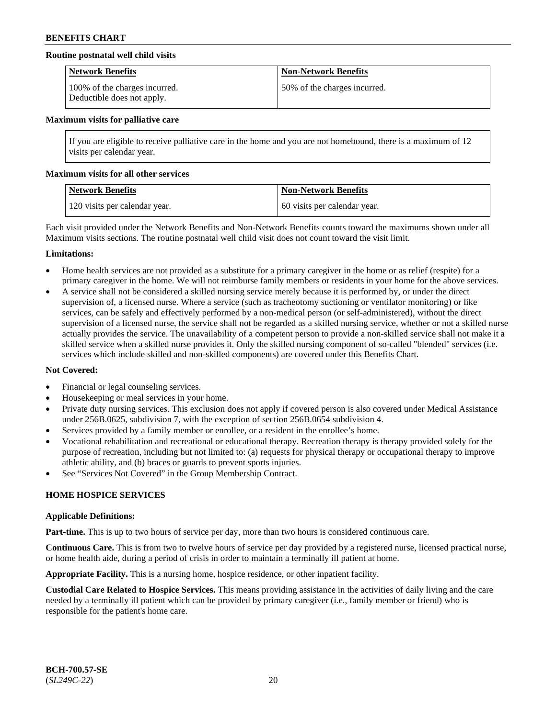### **Routine postnatal well child visits**

| <b>Network Benefits</b>                                     | <b>Non-Network Benefits</b>  |
|-------------------------------------------------------------|------------------------------|
| 100% of the charges incurred.<br>Deductible does not apply. | 50% of the charges incurred. |

#### **Maximum visits for palliative care**

If you are eligible to receive palliative care in the home and you are not homebound, there is a maximum of 12 visits per calendar year.

#### **Maximum visits for all other services**

| <b>Network Benefits</b>       | <b>Non-Network Benefits</b>  |
|-------------------------------|------------------------------|
| 120 visits per calendar year. | 60 visits per calendar year. |

Each visit provided under the Network Benefits and Non-Network Benefits counts toward the maximums shown under all Maximum visits sections. The routine postnatal well child visit does not count toward the visit limit.

#### **Limitations:**

- Home health services are not provided as a substitute for a primary caregiver in the home or as relief (respite) for a primary caregiver in the home. We will not reimburse family members or residents in your home for the above services.
- A service shall not be considered a skilled nursing service merely because it is performed by, or under the direct supervision of, a licensed nurse. Where a service (such as tracheotomy suctioning or ventilator monitoring) or like services, can be safely and effectively performed by a non-medical person (or self-administered), without the direct supervision of a licensed nurse, the service shall not be regarded as a skilled nursing service, whether or not a skilled nurse actually provides the service. The unavailability of a competent person to provide a non-skilled service shall not make it a skilled service when a skilled nurse provides it. Only the skilled nursing component of so-called "blended" services (i.e. services which include skilled and non-skilled components) are covered under this Benefits Chart.

### **Not Covered:**

- Financial or legal counseling services.
- Housekeeping or meal services in your home.
- Private duty nursing services. This exclusion does not apply if covered person is also covered under Medical Assistance under 256B.0625, subdivision 7, with the exception of section 256B.0654 subdivision 4.
- Services provided by a family member or enrollee, or a resident in the enrollee's home.
- Vocational rehabilitation and recreational or educational therapy. Recreation therapy is therapy provided solely for the purpose of recreation, including but not limited to: (a) requests for physical therapy or occupational therapy to improve athletic ability, and (b) braces or guards to prevent sports injuries.
- See "Services Not Covered" in the Group Membership Contract.

### **HOME HOSPICE SERVICES**

#### **Applicable Definitions:**

**Part-time.** This is up to two hours of service per day, more than two hours is considered continuous care.

**Continuous Care.** This is from two to twelve hours of service per day provided by a registered nurse, licensed practical nurse, or home health aide, during a period of crisis in order to maintain a terminally ill patient at home.

**Appropriate Facility.** This is a nursing home, hospice residence, or other inpatient facility.

**Custodial Care Related to Hospice Services.** This means providing assistance in the activities of daily living and the care needed by a terminally ill patient which can be provided by primary caregiver (i.e., family member or friend) who is responsible for the patient's home care.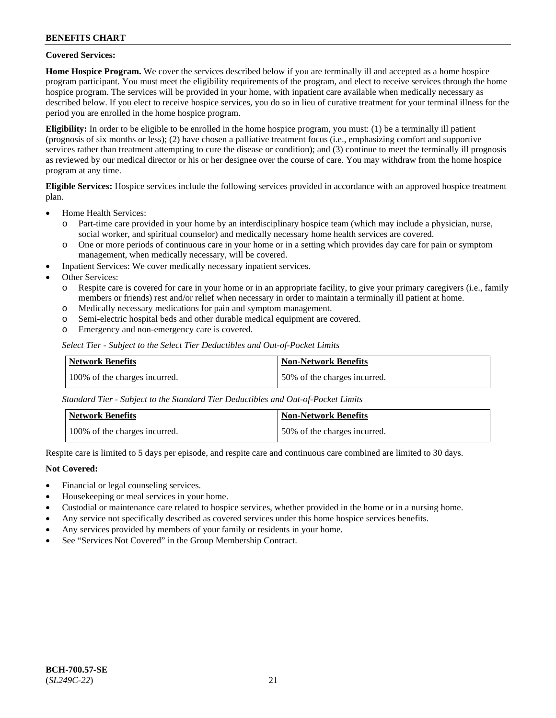### **Covered Services:**

**Home Hospice Program.** We cover the services described below if you are terminally ill and accepted as a home hospice program participant. You must meet the eligibility requirements of the program, and elect to receive services through the home hospice program. The services will be provided in your home, with inpatient care available when medically necessary as described below. If you elect to receive hospice services, you do so in lieu of curative treatment for your terminal illness for the period you are enrolled in the home hospice program.

**Eligibility:** In order to be eligible to be enrolled in the home hospice program, you must: (1) be a terminally ill patient (prognosis of six months or less); (2) have chosen a palliative treatment focus (i.e., emphasizing comfort and supportive services rather than treatment attempting to cure the disease or condition); and (3) continue to meet the terminally ill prognosis as reviewed by our medical director or his or her designee over the course of care. You may withdraw from the home hospice program at any time.

**Eligible Services:** Hospice services include the following services provided in accordance with an approved hospice treatment plan.

- Home Health Services:
	- o Part-time care provided in your home by an interdisciplinary hospice team (which may include a physician, nurse, social worker, and spiritual counselor) and medically necessary home health services are covered.
	- o One or more periods of continuous care in your home or in a setting which provides day care for pain or symptom management, when medically necessary, will be covered.
	- Inpatient Services: We cover medically necessary inpatient services.
- Other Services:
	- o Respite care is covered for care in your home or in an appropriate facility, to give your primary caregivers (i.e., family members or friends) rest and/or relief when necessary in order to maintain a terminally ill patient at home.
	- o Medically necessary medications for pain and symptom management.
	- Semi-electric hospital beds and other durable medical equipment are covered.
	- o Emergency and non-emergency care is covered.

*Select Tier - Subject to the Select Tier Deductibles and Out-of-Pocket Limits*

| Network Benefits              | Non-Network Benefits         |
|-------------------------------|------------------------------|
| 100% of the charges incurred. | 50% of the charges incurred. |

*Standard Tier - Subject to the Standard Tier Deductibles and Out-of-Pocket Limits*

| Network Benefits              | <b>Non-Network Benefits</b>  |
|-------------------------------|------------------------------|
| 100% of the charges incurred. | 50% of the charges incurred. |

Respite care is limited to 5 days per episode, and respite care and continuous care combined are limited to 30 days.

### **Not Covered:**

- Financial or legal counseling services.
- Housekeeping or meal services in your home.
- Custodial or maintenance care related to hospice services, whether provided in the home or in a nursing home.
- Any service not specifically described as covered services under this home hospice services benefits.
- Any services provided by members of your family or residents in your home.
- See "Services Not Covered" in the Group Membership Contract.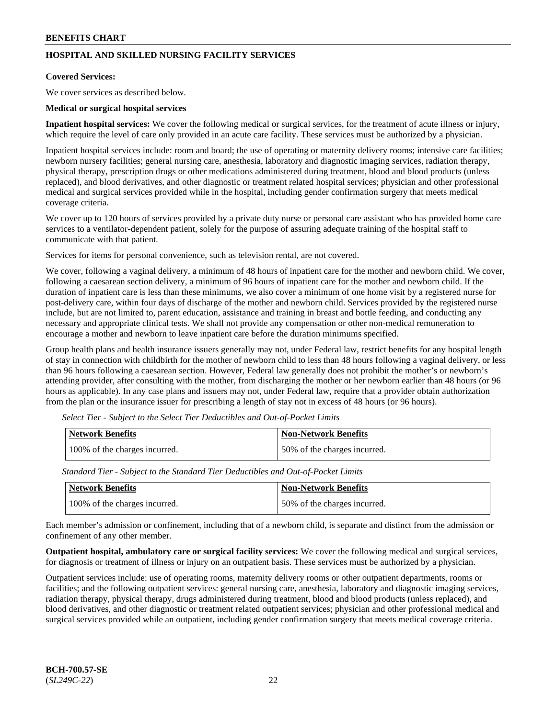# **HOSPITAL AND SKILLED NURSING FACILITY SERVICES**

#### **Covered Services:**

We cover services as described below.

#### **Medical or surgical hospital services**

**Inpatient hospital services:** We cover the following medical or surgical services, for the treatment of acute illness or injury, which require the level of care only provided in an acute care facility. These services must be authorized by a physician.

Inpatient hospital services include: room and board; the use of operating or maternity delivery rooms; intensive care facilities; newborn nursery facilities; general nursing care, anesthesia, laboratory and diagnostic imaging services, radiation therapy, physical therapy, prescription drugs or other medications administered during treatment, blood and blood products (unless replaced), and blood derivatives, and other diagnostic or treatment related hospital services; physician and other professional medical and surgical services provided while in the hospital, including gender confirmation surgery that meets medical coverage criteria.

We cover up to 120 hours of services provided by a private duty nurse or personal care assistant who has provided home care services to a ventilator-dependent patient, solely for the purpose of assuring adequate training of the hospital staff to communicate with that patient.

Services for items for personal convenience, such as television rental, are not covered.

We cover, following a vaginal delivery, a minimum of 48 hours of inpatient care for the mother and newborn child. We cover, following a caesarean section delivery, a minimum of 96 hours of inpatient care for the mother and newborn child. If the duration of inpatient care is less than these minimums, we also cover a minimum of one home visit by a registered nurse for post-delivery care, within four days of discharge of the mother and newborn child. Services provided by the registered nurse include, but are not limited to, parent education, assistance and training in breast and bottle feeding, and conducting any necessary and appropriate clinical tests. We shall not provide any compensation or other non-medical remuneration to encourage a mother and newborn to leave inpatient care before the duration minimums specified.

Group health plans and health insurance issuers generally may not, under Federal law, restrict benefits for any hospital length of stay in connection with childbirth for the mother of newborn child to less than 48 hours following a vaginal delivery, or less than 96 hours following a caesarean section. However, Federal law generally does not prohibit the mother's or newborn's attending provider, after consulting with the mother, from discharging the mother or her newborn earlier than 48 hours (or 96 hours as applicable). In any case plans and issuers may not, under Federal law, require that a provider obtain authorization from the plan or the insurance issuer for prescribing a length of stay not in excess of 48 hours (or 96 hours).

| Network Benefits              | <b>Non-Network Benefits</b>  |
|-------------------------------|------------------------------|
| 100% of the charges incurred. | 50% of the charges incurred. |

*Select Tier - Subject to the Select Tier Deductibles and Out-of-Pocket Limits*

*Standard Tier - Subject to the Standard Tier Deductibles and Out-of-Pocket Limits*

| Network Benefits              | 'Non-Network Benefits        |
|-------------------------------|------------------------------|
| 100% of the charges incurred. | 50% of the charges incurred. |

Each member's admission or confinement, including that of a newborn child, is separate and distinct from the admission or confinement of any other member.

**Outpatient hospital, ambulatory care or surgical facility services:** We cover the following medical and surgical services, for diagnosis or treatment of illness or injury on an outpatient basis. These services must be authorized by a physician.

Outpatient services include: use of operating rooms, maternity delivery rooms or other outpatient departments, rooms or facilities; and the following outpatient services: general nursing care, anesthesia, laboratory and diagnostic imaging services, radiation therapy, physical therapy, drugs administered during treatment, blood and blood products (unless replaced), and blood derivatives, and other diagnostic or treatment related outpatient services; physician and other professional medical and surgical services provided while an outpatient, including gender confirmation surgery that meets medical coverage criteria.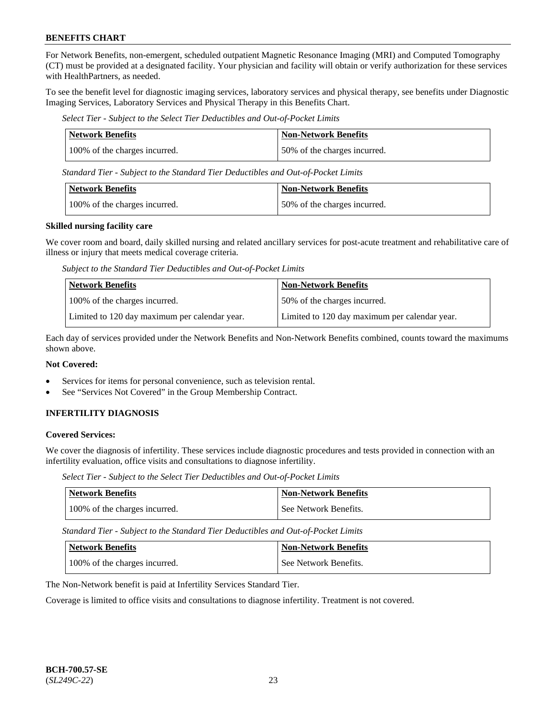For Network Benefits, non-emergent, scheduled outpatient Magnetic Resonance Imaging (MRI) and Computed Tomography (CT) must be provided at a designated facility. Your physician and facility will obtain or verify authorization for these services with HealthPartners, as needed.

To see the benefit level for diagnostic imaging services, laboratory services and physical therapy, see benefits under Diagnostic Imaging Services, Laboratory Services and Physical Therapy in this Benefits Chart.

*Select Tier - Subject to the Select Tier Deductibles and Out-of-Pocket Limits*

| <b>Network Benefits</b>       | <b>Non-Network Benefits</b>  |
|-------------------------------|------------------------------|
| 100% of the charges incurred. | 50% of the charges incurred. |

*Standard Tier - Subject to the Standard Tier Deductibles and Out-of-Pocket Limits*

| Network Benefits              | <b>Non-Network Benefits</b>  |
|-------------------------------|------------------------------|
| 100% of the charges incurred. | 50% of the charges incurred. |

#### **Skilled nursing facility care**

We cover room and board, daily skilled nursing and related ancillary services for post-acute treatment and rehabilitative care of illness or injury that meets medical coverage criteria.

*Subject to the Standard Tier Deductibles and Out-of-Pocket Limits*

| <b>Network Benefits</b>                       | <b>Non-Network Benefits</b>                   |
|-----------------------------------------------|-----------------------------------------------|
| 100% of the charges incurred.                 | 50% of the charges incurred.                  |
| Limited to 120 day maximum per calendar year. | Limited to 120 day maximum per calendar year. |

Each day of services provided under the Network Benefits and Non-Network Benefits combined, counts toward the maximums shown above.

### **Not Covered:**

- Services for items for personal convenience, such as television rental.
- See "Services Not Covered" in the Group Membership Contract.

# **INFERTILITY DIAGNOSIS**

### **Covered Services:**

We cover the diagnosis of infertility. These services include diagnostic procedures and tests provided in connection with an infertility evaluation, office visits and consultations to diagnose infertility.

*Select Tier - Subject to the Select Tier Deductibles and Out-of-Pocket Limits*

| <b>Network Benefits</b>       | <b>Non-Network Benefits</b> |
|-------------------------------|-----------------------------|
| 100% of the charges incurred. | See Network Benefits.       |

*Standard Tier - Subject to the Standard Tier Deductibles and Out-of-Pocket Limits*

| Network Benefits              | <b>Non-Network Benefits</b> |
|-------------------------------|-----------------------------|
| 100% of the charges incurred. | See Network Benefits.       |

The Non-Network benefit is paid at Infertility Services Standard Tier.

Coverage is limited to office visits and consultations to diagnose infertility. Treatment is not covered.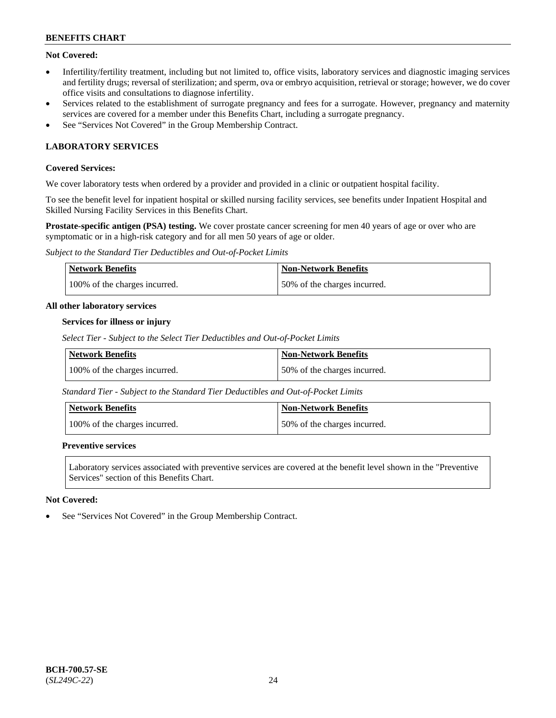# **Not Covered:**

- Infertility/fertility treatment, including but not limited to, office visits, laboratory services and diagnostic imaging services and fertility drugs; reversal of sterilization; and sperm, ova or embryo acquisition, retrieval or storage; however, we do cover office visits and consultations to diagnose infertility.
- Services related to the establishment of surrogate pregnancy and fees for a surrogate. However, pregnancy and maternity services are covered for a member under this Benefits Chart, including a surrogate pregnancy.
- See "Services Not Covered" in the Group Membership Contract.

# **LABORATORY SERVICES**

### **Covered Services:**

We cover laboratory tests when ordered by a provider and provided in a clinic or outpatient hospital facility.

To see the benefit level for inpatient hospital or skilled nursing facility services, see benefits under Inpatient Hospital and Skilled Nursing Facility Services in this Benefits Chart.

**Prostate-specific antigen (PSA) testing.** We cover prostate cancer screening for men 40 years of age or over who are symptomatic or in a high-risk category and for all men 50 years of age or older.

*Subject to the Standard Tier Deductibles and Out-of-Pocket Limits*

| <b>Network Benefits</b>       | <b>Non-Network Benefits</b>  |
|-------------------------------|------------------------------|
| 100% of the charges incurred. | 50% of the charges incurred. |

#### **All other laboratory services**

#### **Services for illness or injury**

*Select Tier - Subject to the Select Tier Deductibles and Out-of-Pocket Limits*

| <b>Network Benefits</b>       | <b>Non-Network Benefits</b>  |
|-------------------------------|------------------------------|
| 100% of the charges incurred. | 50% of the charges incurred. |

*Standard Tier - Subject to the Standard Tier Deductibles and Out-of-Pocket Limits*

| Network Benefits              | <b>Non-Network Benefits</b>  |
|-------------------------------|------------------------------|
| 100% of the charges incurred. | 50% of the charges incurred. |

### **Preventive services**

Laboratory services associated with preventive services are covered at the benefit level shown in the "Preventive Services" section of this Benefits Chart.

### **Not Covered:**

See "Services Not Covered" in the Group Membership Contract.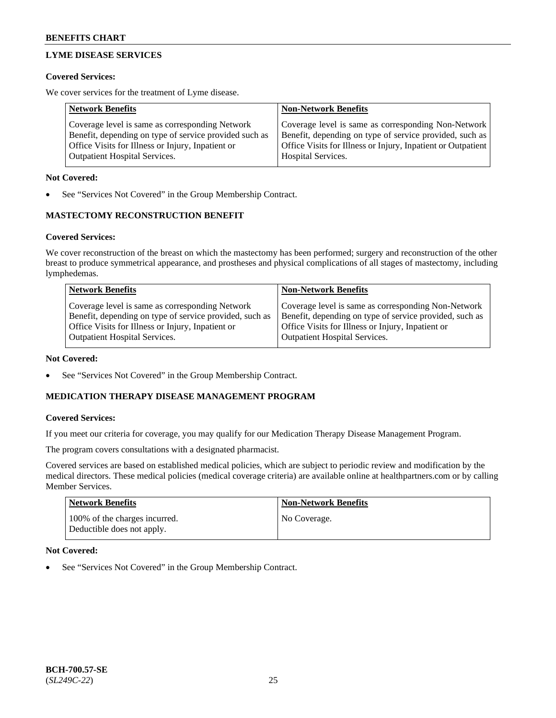# **LYME DISEASE SERVICES**

### **Covered Services:**

We cover services for the treatment of Lyme disease.

| <b>Network Benefits</b>                                | <b>Non-Network Benefits</b>                                  |
|--------------------------------------------------------|--------------------------------------------------------------|
| Coverage level is same as corresponding Network        | Coverage level is same as corresponding Non-Network          |
| Benefit, depending on type of service provided such as | Benefit, depending on type of service provided, such as      |
| Office Visits for Illness or Injury, Inpatient or      | Office Visits for Illness or Injury, Inpatient or Outpatient |
| <b>Outpatient Hospital Services.</b>                   | Hospital Services.                                           |

### **Not Covered:**

See "Services Not Covered" in the Group Membership Contract.

# **MASTECTOMY RECONSTRUCTION BENEFIT**

# **Covered Services:**

We cover reconstruction of the breast on which the mastectomy has been performed; surgery and reconstruction of the other breast to produce symmetrical appearance, and prostheses and physical complications of all stages of mastectomy, including lymphedemas.

| <b>Network Benefits</b>                                 | <b>Non-Network Benefits</b>                             |
|---------------------------------------------------------|---------------------------------------------------------|
| Coverage level is same as corresponding Network         | Coverage level is same as corresponding Non-Network     |
| Benefit, depending on type of service provided, such as | Benefit, depending on type of service provided, such as |
| Office Visits for Illness or Injury, Inpatient or       | Office Visits for Illness or Injury, Inpatient or       |
| <b>Outpatient Hospital Services.</b>                    | <b>Outpatient Hospital Services.</b>                    |

### **Not Covered:**

See "Services Not Covered" in the Group Membership Contract.

# **MEDICATION THERAPY DISEASE MANAGEMENT PROGRAM**

### **Covered Services:**

If you meet our criteria for coverage, you may qualify for our Medication Therapy Disease Management Program.

The program covers consultations with a designated pharmacist.

Covered services are based on established medical policies, which are subject to periodic review and modification by the medical directors. These medical policies (medical coverage criteria) are available online at [healthpartners.com](https://www.healthpartners.com/hp/index.html) or by calling Member Services.

| <b>Network Benefits</b>                                     | <b>Non-Network Benefits</b> |
|-------------------------------------------------------------|-----------------------------|
| 100% of the charges incurred.<br>Deductible does not apply. | No Coverage.                |

### **Not Covered:**

See "Services Not Covered" in the Group Membership Contract.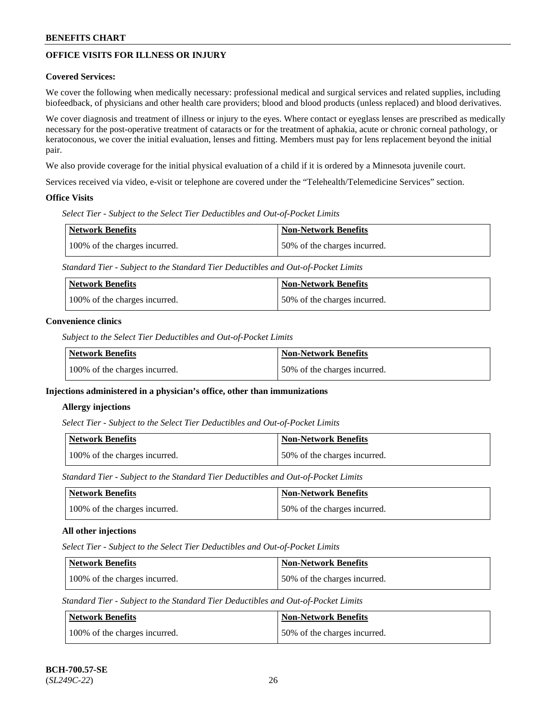# **OFFICE VISITS FOR ILLNESS OR INJURY**

### **Covered Services:**

We cover the following when medically necessary: professional medical and surgical services and related supplies, including biofeedback, of physicians and other health care providers; blood and blood products (unless replaced) and blood derivatives.

We cover diagnosis and treatment of illness or injury to the eyes. Where contact or eyeglass lenses are prescribed as medically necessary for the post-operative treatment of cataracts or for the treatment of aphakia, acute or chronic corneal pathology, or keratoconous, we cover the initial evaluation, lenses and fitting. Members must pay for lens replacement beyond the initial pair.

We also provide coverage for the initial physical evaluation of a child if it is ordered by a Minnesota juvenile court.

Services received via video, e-visit or telephone are covered under the "Telehealth/Telemedicine Services" section.

#### **Office Visits**

*Select Tier - Subject to the Select Tier Deductibles and Out-of-Pocket Limits*

| <b>Network Benefits</b>       | Non-Network Benefits         |
|-------------------------------|------------------------------|
| 100% of the charges incurred. | 50% of the charges incurred. |

*Standard Tier - Subject to the Standard Tier Deductibles and Out-of-Pocket Limits*

| Network Benefits              | <b>Non-Network Benefits</b>  |
|-------------------------------|------------------------------|
| 100% of the charges incurred. | 50% of the charges incurred. |

#### **Convenience clinics**

*Subject to the Select Tier Deductibles and Out-of-Pocket Limits*

| Network Benefits              | <b>Non-Network Benefits</b>  |
|-------------------------------|------------------------------|
| 100% of the charges incurred. | 50% of the charges incurred. |

### **Injections administered in a physician's office, other than immunizations**

#### **Allergy injections**

*Select Tier - Subject to the Select Tier Deductibles and Out-of-Pocket Limits*

| Network Benefits              | <b>Non-Network Benefits</b>  |
|-------------------------------|------------------------------|
| 100% of the charges incurred. | 50% of the charges incurred. |

*Standard Tier - Subject to the Standard Tier Deductibles and Out-of-Pocket Limits*

| Network Benefits              | <b>Non-Network Benefits</b>  |
|-------------------------------|------------------------------|
| 100% of the charges incurred. | 50% of the charges incurred. |

### **All other injections**

*Select Tier - Subject to the Select Tier Deductibles and Out-of-Pocket Limits*

| Network Benefits              | Non-Network Benefits         |
|-------------------------------|------------------------------|
| 100% of the charges incurred. | 50% of the charges incurred. |

*Standard Tier - Subject to the Standard Tier Deductibles and Out-of-Pocket Limits*

| Network Benefits              | <b>Non-Network Benefits</b>  |
|-------------------------------|------------------------------|
| 100% of the charges incurred. | 50% of the charges incurred. |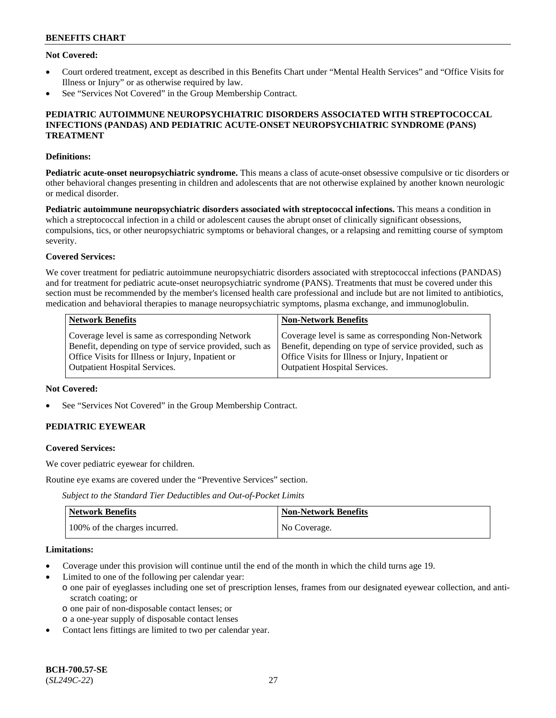### **Not Covered:**

- Court ordered treatment, except as described in this Benefits Chart under "Mental Health Services" and "Office Visits for Illness or Injury" or as otherwise required by law.
- See "Services Not Covered" in the Group Membership Contract.

### **PEDIATRIC AUTOIMMUNE NEUROPSYCHIATRIC DISORDERS ASSOCIATED WITH STREPTOCOCCAL INFECTIONS (PANDAS) AND PEDIATRIC ACUTE-ONSET NEUROPSYCHIATRIC SYNDROME (PANS) TREATMENT**

#### **Definitions:**

**Pediatric acute-onset neuropsychiatric syndrome.** This means a class of acute-onset obsessive compulsive or tic disorders or other behavioral changes presenting in children and adolescents that are not otherwise explained by another known neurologic or medical disorder.

**Pediatric autoimmune neuropsychiatric disorders associated with streptococcal infections.** This means a condition in which a streptococcal infection in a child or adolescent causes the abrupt onset of clinically significant obsessions, compulsions, tics, or other neuropsychiatric symptoms or behavioral changes, or a relapsing and remitting course of symptom severity.

#### **Covered Services:**

We cover treatment for pediatric autoimmune neuropsychiatric disorders associated with streptococcal infections (PANDAS) and for treatment for pediatric acute-onset neuropsychiatric syndrome (PANS). Treatments that must be covered under this section must be recommended by the member's licensed health care professional and include but are not limited to antibiotics, medication and behavioral therapies to manage neuropsychiatric symptoms, plasma exchange, and immunoglobulin.

| <b>Network Benefits</b>                                 | <b>Non-Network Benefits</b>                             |
|---------------------------------------------------------|---------------------------------------------------------|
| Coverage level is same as corresponding Network         | Coverage level is same as corresponding Non-Network     |
| Benefit, depending on type of service provided, such as | Benefit, depending on type of service provided, such as |
| Office Visits for Illness or Injury, Inpatient or       | Office Visits for Illness or Injury, Inpatient or       |
| <b>Outpatient Hospital Services.</b>                    | <b>Outpatient Hospital Services.</b>                    |

#### **Not Covered:**

See "Services Not Covered" in the Group Membership Contract.

# **PEDIATRIC EYEWEAR**

#### **Covered Services:**

We cover pediatric eyewear for children.

Routine eye exams are covered under the "Preventive Services" section.

*Subject to the Standard Tier Deductibles and Out-of-Pocket Limits*

| Network Benefits              | <b>Non-Network Benefits</b> |
|-------------------------------|-----------------------------|
| 100% of the charges incurred. | No Coverage.                |

#### **Limitations:**

- Coverage under this provision will continue until the end of the month in which the child turns age 19.
- Limited to one of the following per calendar year:
- o one pair of eyeglasses including one set of prescription lenses, frames from our designated eyewear collection, and antiscratch coating; or
	- o one pair of non-disposable contact lenses; or
	- o a one-year supply of disposable contact lenses
- Contact lens fittings are limited to two per calendar year.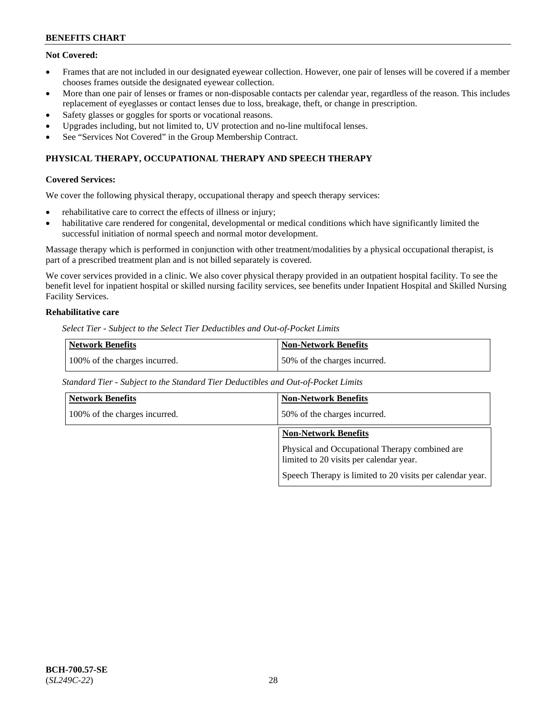# **Not Covered:**

- Frames that are not included in our designated eyewear collection. However, one pair of lenses will be covered if a member chooses frames outside the designated eyewear collection.
- More than one pair of lenses or frames or non-disposable contacts per calendar year, regardless of the reason. This includes replacement of eyeglasses or contact lenses due to loss, breakage, theft, or change in prescription.
- Safety glasses or goggles for sports or vocational reasons.
- Upgrades including, but not limited to, UV protection and no-line multifocal lenses.
- See "Services Not Covered" in the Group Membership Contract.

# **PHYSICAL THERAPY, OCCUPATIONAL THERAPY AND SPEECH THERAPY**

#### **Covered Services:**

We cover the following physical therapy, occupational therapy and speech therapy services:

- rehabilitative care to correct the effects of illness or injury;
- habilitative care rendered for congenital, developmental or medical conditions which have significantly limited the successful initiation of normal speech and normal motor development.

Massage therapy which is performed in conjunction with other treatment/modalities by a physical occupational therapist, is part of a prescribed treatment plan and is not billed separately is covered.

We cover services provided in a clinic. We also cover physical therapy provided in an outpatient hospital facility. To see the benefit level for inpatient hospital or skilled nursing facility services, see benefits under Inpatient Hospital and Skilled Nursing Facility Services.

# **Rehabilitative care**

*Select Tier - Subject to the Select Tier Deductibles and Out-of-Pocket Limits*

| <b>Network Benefits</b>       | <b>Non-Network Benefits</b>  |
|-------------------------------|------------------------------|
| 100% of the charges incurred. | 50% of the charges incurred. |

*Standard Tier - Subject to the Standard Tier Deductibles and Out-of-Pocket Limits*

| <b>Network Benefits</b>       | <b>Non-Network Benefits</b>                                                               |
|-------------------------------|-------------------------------------------------------------------------------------------|
| 100% of the charges incurred. | 50% of the charges incurred.                                                              |
|                               | <b>Non-Network Benefits</b>                                                               |
|                               | Physical and Occupational Therapy combined are<br>limited to 20 visits per calendar year. |
|                               | Speech Therapy is limited to 20 visits per calendar year.                                 |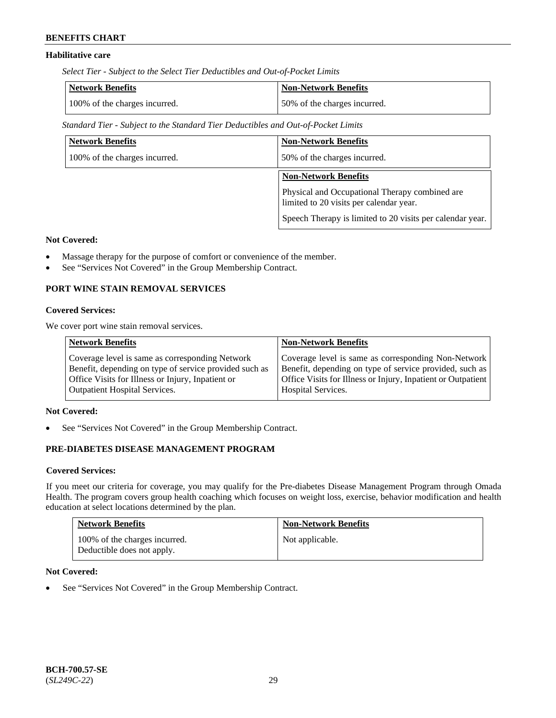# **Habilitative care**

*Select Tier - Subject to the Select Tier Deductibles and Out-of-Pocket Limits*

| Network Benefits              | <b>Non-Network Benefits</b>  |
|-------------------------------|------------------------------|
| 100% of the charges incurred. | 50% of the charges incurred. |

*Standard Tier - Subject to the Standard Tier Deductibles and Out-of-Pocket Limits*

| <b>Network Benefits</b>       | <b>Non-Network Benefits</b>                                                               |
|-------------------------------|-------------------------------------------------------------------------------------------|
| 100% of the charges incurred. | 50% of the charges incurred.                                                              |
|                               | <b>Non-Network Benefits</b>                                                               |
|                               | Physical and Occupational Therapy combined are<br>limited to 20 visits per calendar year. |
|                               | Speech Therapy is limited to 20 visits per calendar year.                                 |

# **Not Covered:**

- Massage therapy for the purpose of comfort or convenience of the member.
- See "Services Not Covered" in the Group Membership Contract.

# **PORT WINE STAIN REMOVAL SERVICES**

### **Covered Services:**

We cover port wine stain removal services.

| Coverage level is same as corresponding Network<br>Benefit, depending on type of service provided such as<br>Office Visits for Illness or Injury, Inpatient or | <b>Network Benefits</b>              | <b>Non-Network Benefits</b>                                                                                                                                                                          |
|----------------------------------------------------------------------------------------------------------------------------------------------------------------|--------------------------------------|------------------------------------------------------------------------------------------------------------------------------------------------------------------------------------------------------|
|                                                                                                                                                                | <b>Outpatient Hospital Services.</b> | Coverage level is same as corresponding Non-Network<br>Benefit, depending on type of service provided, such as<br>Office Visits for Illness or Injury, Inpatient or Outpatient<br>Hospital Services. |

#### **Not Covered:**

See "Services Not Covered" in the Group Membership Contract.

# **PRE-DIABETES DISEASE MANAGEMENT PROGRAM**

#### **Covered Services:**

If you meet our criteria for coverage, you may qualify for the Pre-diabetes Disease Management Program through Omada Health. The program covers group health coaching which focuses on weight loss, exercise, behavior modification and health education at select locations determined by the plan.

| <b>Network Benefits</b>                                     | <b>Non-Network Benefits</b> |
|-------------------------------------------------------------|-----------------------------|
| 100% of the charges incurred.<br>Deductible does not apply. | Not applicable.             |

### **Not Covered:**

• See "Services Not Covered" in the Group Membership Contract.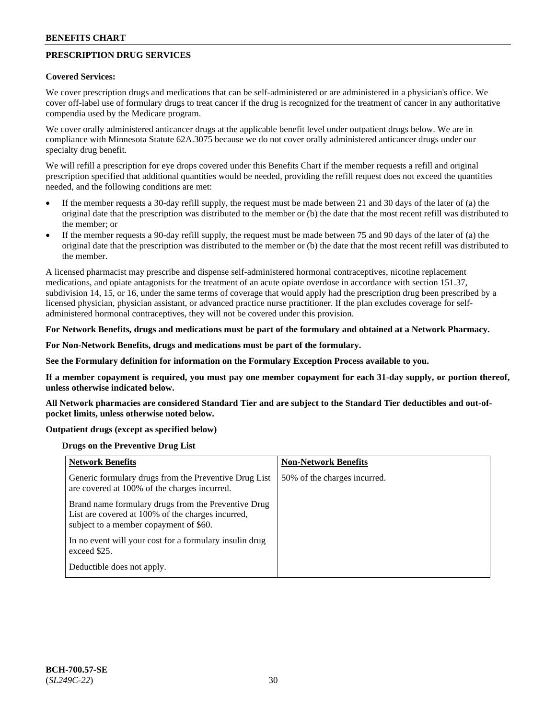# **PRESCRIPTION DRUG SERVICES**

#### **Covered Services:**

We cover prescription drugs and medications that can be self-administered or are administered in a physician's office. We cover off-label use of formulary drugs to treat cancer if the drug is recognized for the treatment of cancer in any authoritative compendia used by the Medicare program.

We cover orally administered anticancer drugs at the applicable benefit level under outpatient drugs below. We are in compliance with Minnesota Statute 62A.3075 because we do not cover orally administered anticancer drugs under our specialty drug benefit.

We will refill a prescription for eye drops covered under this Benefits Chart if the member requests a refill and original prescription specified that additional quantities would be needed, providing the refill request does not exceed the quantities needed, and the following conditions are met:

- If the member requests a 30-day refill supply, the request must be made between 21 and 30 days of the later of (a) the original date that the prescription was distributed to the member or (b) the date that the most recent refill was distributed to the member; or
- If the member requests a 90-day refill supply, the request must be made between 75 and 90 days of the later of (a) the original date that the prescription was distributed to the member or (b) the date that the most recent refill was distributed to the member.

A licensed pharmacist may prescribe and dispense self-administered hormonal contraceptives, nicotine replacement medications, and opiate antagonists for the treatment of an acute opiate overdose in accordance with section 151.37, subdivision 14, 15, or 16, under the same terms of coverage that would apply had the prescription drug been prescribed by a licensed physician, physician assistant, or advanced practice nurse practitioner. If the plan excludes coverage for selfadministered hormonal contraceptives, they will not be covered under this provision.

### **For Network Benefits, drugs and medications must be part of the formulary and obtained at a Network Pharmacy.**

#### **For Non-Network Benefits, drugs and medications must be part of the formulary.**

**See the Formulary definition for information on the Formulary Exception Process available to you.**

**If a member copayment is required, you must pay one member copayment for each 31-day supply, or portion thereof, unless otherwise indicated below.**

**All Network pharmacies are considered Standard Tier and are subject to the Standard Tier deductibles and out-ofpocket limits, unless otherwise noted below.**

#### **Outpatient drugs (except as specified below)**

#### **Drugs on the Preventive Drug List**

| <b>Network Benefits</b>                                                                                                                            | <b>Non-Network Benefits</b>  |
|----------------------------------------------------------------------------------------------------------------------------------------------------|------------------------------|
| Generic formulary drugs from the Preventive Drug List<br>are covered at 100% of the charges incurred.                                              | 50% of the charges incurred. |
| Brand name formulary drugs from the Preventive Drug<br>List are covered at 100% of the charges incurred,<br>subject to a member copayment of \$60. |                              |
| In no event will your cost for a formulary insulin drug<br>exceed \$25.                                                                            |                              |
| Deductible does not apply.                                                                                                                         |                              |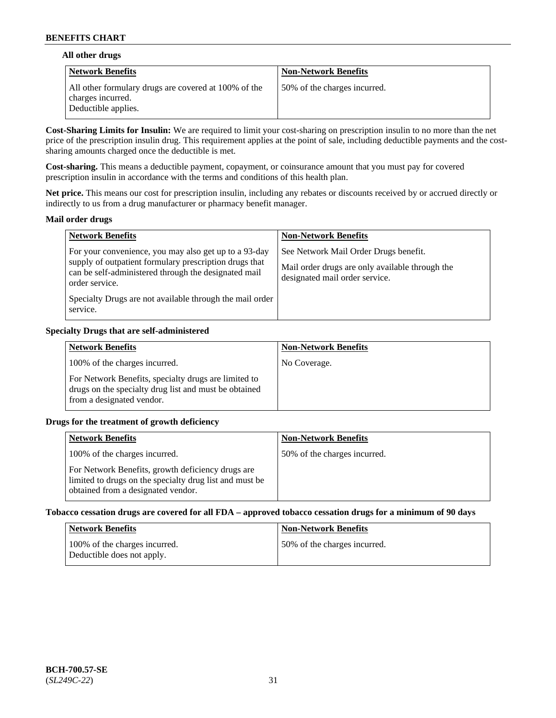### **All other drugs**

| Network Benefits                                                                                 | <b>Non-Network Benefits</b>  |
|--------------------------------------------------------------------------------------------------|------------------------------|
| All other formulary drugs are covered at 100% of the<br>charges incurred.<br>Deductible applies. | 50% of the charges incurred. |

**Cost-Sharing Limits for Insulin:** We are required to limit your cost-sharing on prescription insulin to no more than the net price of the prescription insulin drug. This requirement applies at the point of sale, including deductible payments and the costsharing amounts charged once the deductible is met.

**Cost-sharing.** This means a deductible payment, copayment, or coinsurance amount that you must pay for covered prescription insulin in accordance with the terms and conditions of this health plan.

**Net price.** This means our cost for prescription insulin, including any rebates or discounts received by or accrued directly or indirectly to us from a drug manufacturer or pharmacy benefit manager.

#### **Mail order drugs**

| <b>Network Benefits</b>                                                                                                                                                                                                                                           | <b>Non-Network Benefits</b>                                                                                                |
|-------------------------------------------------------------------------------------------------------------------------------------------------------------------------------------------------------------------------------------------------------------------|----------------------------------------------------------------------------------------------------------------------------|
| For your convenience, you may also get up to a 93-day<br>supply of outpatient formulary prescription drugs that<br>can be self-administered through the designated mail<br>order service.<br>Specialty Drugs are not available through the mail order<br>service. | See Network Mail Order Drugs benefit.<br>Mail order drugs are only available through the<br>designated mail order service. |

### **Specialty Drugs that are self-administered**

| <b>Network Benefits</b>                                                                                                                    | <b>Non-Network Benefits</b> |
|--------------------------------------------------------------------------------------------------------------------------------------------|-----------------------------|
| 100% of the charges incurred.                                                                                                              | No Coverage.                |
| For Network Benefits, specialty drugs are limited to<br>drugs on the specialty drug list and must be obtained<br>from a designated vendor. |                             |

### **Drugs for the treatment of growth deficiency**

| <b>Network Benefits</b>                                                                                                                            | <b>Non-Network Benefits</b>  |
|----------------------------------------------------------------------------------------------------------------------------------------------------|------------------------------|
| 100% of the charges incurred.                                                                                                                      | 50% of the charges incurred. |
| For Network Benefits, growth deficiency drugs are<br>limited to drugs on the specialty drug list and must be<br>obtained from a designated vendor. |                              |

#### **Tobacco cessation drugs are covered for all FDA – approved tobacco cessation drugs for a minimum of 90 days**

| <b>Network Benefits</b>                                     | <b>Non-Network Benefits</b>  |
|-------------------------------------------------------------|------------------------------|
| 100% of the charges incurred.<br>Deductible does not apply. | 50% of the charges incurred. |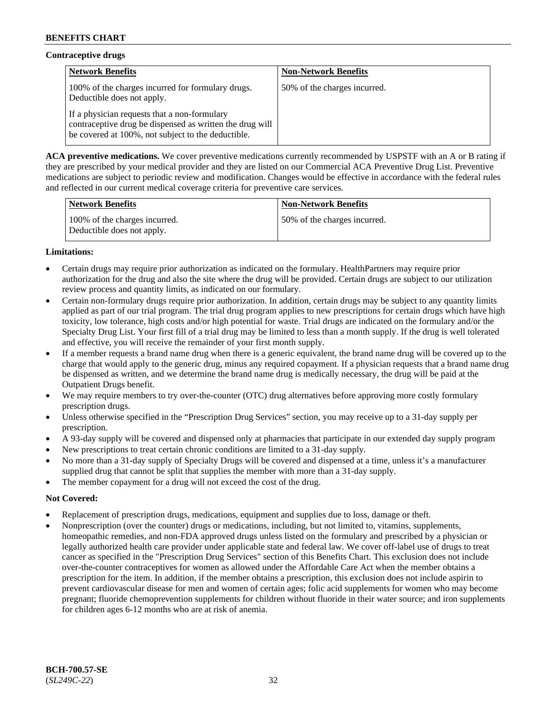# **Contraceptive drugs**

| <b>Network Benefits</b>                                                                                                                                        | <b>Non-Network Benefits</b>  |
|----------------------------------------------------------------------------------------------------------------------------------------------------------------|------------------------------|
| 100% of the charges incurred for formulary drugs.<br>Deductible does not apply.                                                                                | 50% of the charges incurred. |
| If a physician requests that a non-formulary<br>contraceptive drug be dispensed as written the drug will<br>be covered at 100%, not subject to the deductible. |                              |

**ACA preventive medications.** We cover preventive medications currently recommended by USPSTF with an A or B rating if they are prescribed by your medical provider and they are listed on our Commercial ACA Preventive Drug List. Preventive medications are subject to periodic review and modification. Changes would be effective in accordance with the federal rules and reflected in our current medical coverage criteria for preventive care services.

| <b>Network Benefits</b>                                     | <b>Non-Network Benefits</b>  |
|-------------------------------------------------------------|------------------------------|
| 100% of the charges incurred.<br>Deductible does not apply. | 50% of the charges incurred. |

# **Limitations:**

- Certain drugs may require prior authorization as indicated on the formulary. HealthPartners may require prior authorization for the drug and also the site where the drug will be provided. Certain drugs are subject to our utilization review process and quantity limits, as indicated on our formulary.
- Certain non-formulary drugs require prior authorization. In addition, certain drugs may be subject to any quantity limits applied as part of our trial program. The trial drug program applies to new prescriptions for certain drugs which have high toxicity, low tolerance, high costs and/or high potential for waste. Trial drugs are indicated on the formulary and/or the Specialty Drug List. Your first fill of a trial drug may be limited to less than a month supply. If the drug is well tolerated and effective, you will receive the remainder of your first month supply.
- If a member requests a brand name drug when there is a generic equivalent, the brand name drug will be covered up to the charge that would apply to the generic drug, minus any required copayment. If a physician requests that a brand name drug be dispensed as written, and we determine the brand name drug is medically necessary, the drug will be paid at the Outpatient Drugs benefit.
- We may require members to try over-the-counter (OTC) drug alternatives before approving more costly formulary prescription drugs.
- Unless otherwise specified in the "Prescription Drug Services" section, you may receive up to a 31-day supply per prescription.
- A 93-day supply will be covered and dispensed only at pharmacies that participate in our extended day supply program
- New prescriptions to treat certain chronic conditions are limited to a 31-day supply.
- No more than a 31-day supply of Specialty Drugs will be covered and dispensed at a time, unless it's a manufacturer supplied drug that cannot be split that supplies the member with more than a 31-day supply.
- The member copayment for a drug will not exceed the cost of the drug.

### **Not Covered:**

- Replacement of prescription drugs, medications, equipment and supplies due to loss, damage or theft.
- Nonprescription (over the counter) drugs or medications, including, but not limited to, vitamins, supplements, homeopathic remedies, and non-FDA approved drugs unless listed on the formulary and prescribed by a physician or legally authorized health care provider under applicable state and federal law. We cover off-label use of drugs to treat cancer as specified in the "Prescription Drug Services" section of this Benefits Chart. This exclusion does not include over-the-counter contraceptives for women as allowed under the Affordable Care Act when the member obtains a prescription for the item. In addition, if the member obtains a prescription, this exclusion does not include aspirin to prevent cardiovascular disease for men and women of certain ages; folic acid supplements for women who may become pregnant; fluoride chemoprevention supplements for children without fluoride in their water source; and iron supplements for children ages 6-12 months who are at risk of anemia.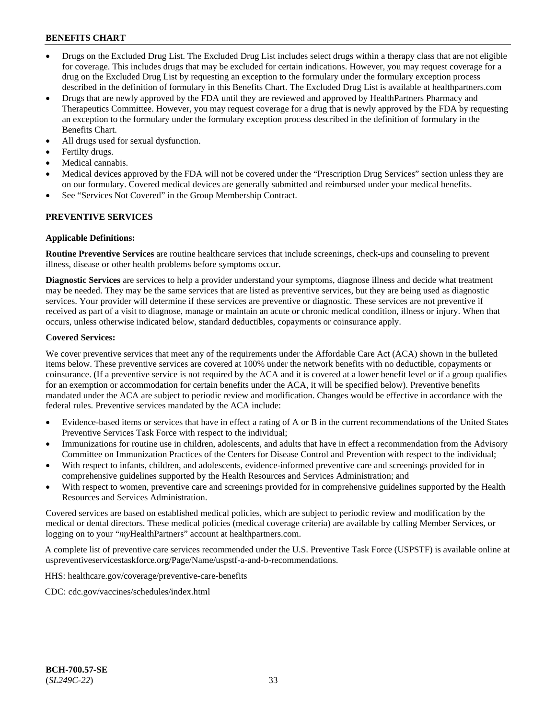- Drugs on the Excluded Drug List. The Excluded Drug List includes select drugs within a therapy class that are not eligible for coverage. This includes drugs that may be excluded for certain indications. However, you may request coverage for a drug on the Excluded Drug List by requesting an exception to the formulary under the formulary exception process described in the definition of formulary in this Benefits Chart. The Excluded Drug List is available at [healthpartners.com](http://www.healthpartners.com/)
- Drugs that are newly approved by the FDA until they are reviewed and approved by HealthPartners Pharmacy and Therapeutics Committee. However, you may request coverage for a drug that is newly approved by the FDA by requesting an exception to the formulary under the formulary exception process described in the definition of formulary in the Benefits Chart.
- All drugs used for sexual dysfunction.
- Fertilty drugs.
- Medical cannabis.
- Medical devices approved by the FDA will not be covered under the "Prescription Drug Services" section unless they are on our formulary. Covered medical devices are generally submitted and reimbursed under your medical benefits.
- See "Services Not Covered" in the Group Membership Contract.

### **PREVENTIVE SERVICES**

#### **Applicable Definitions:**

**Routine Preventive Services** are routine healthcare services that include screenings, check-ups and counseling to prevent illness, disease or other health problems before symptoms occur.

**Diagnostic Services** are services to help a provider understand your symptoms, diagnose illness and decide what treatment may be needed. They may be the same services that are listed as preventive services, but they are being used as diagnostic services. Your provider will determine if these services are preventive or diagnostic. These services are not preventive if received as part of a visit to diagnose, manage or maintain an acute or chronic medical condition, illness or injury. When that occurs, unless otherwise indicated below, standard deductibles, copayments or coinsurance apply.

#### **Covered Services:**

We cover preventive services that meet any of the requirements under the Affordable Care Act (ACA) shown in the bulleted items below. These preventive services are covered at 100% under the network benefits with no deductible, copayments or coinsurance. (If a preventive service is not required by the ACA and it is covered at a lower benefit level or if a group qualifies for an exemption or accommodation for certain benefits under the ACA, it will be specified below). Preventive benefits mandated under the ACA are subject to periodic review and modification. Changes would be effective in accordance with the federal rules. Preventive services mandated by the ACA include:

- Evidence-based items or services that have in effect a rating of A or B in the current recommendations of the United States Preventive Services Task Force with respect to the individual;
- Immunizations for routine use in children, adolescents, and adults that have in effect a recommendation from the Advisory Committee on Immunization Practices of the Centers for Disease Control and Prevention with respect to the individual;
- With respect to infants, children, and adolescents, evidence-informed preventive care and screenings provided for in comprehensive guidelines supported by the Health Resources and Services Administration; and
- With respect to women, preventive care and screenings provided for in comprehensive guidelines supported by the Health Resources and Services Administration.

Covered services are based on established medical policies, which are subject to periodic review and modification by the medical or dental directors. These medical policies (medical coverage criteria) are available by calling Member Services, or logging on to your "*my*HealthPartners" account at [healthpartners.com.](http://www.healthpartners.com/)

A complete list of preventive care services recommended under the U.S. Preventive Task Force (USPSTF) is available online at [uspreventiveservicestaskforce.org/Page/Name/uspstf-a-and-b-recommendations.](https://www.uspreventiveservicestaskforce.org/Page/Name/uspstf-a-and-b-recommendations-by-date/)

HHS: [healthcare.gov/coverage/preventive-care-benefits](https://www.healthcare.gov/coverage/preventive-care-benefits/)

CDC: [cdc.gov/vaccines/schedules/index.html](https://www.cdc.gov/vaccines/schedules/index.html)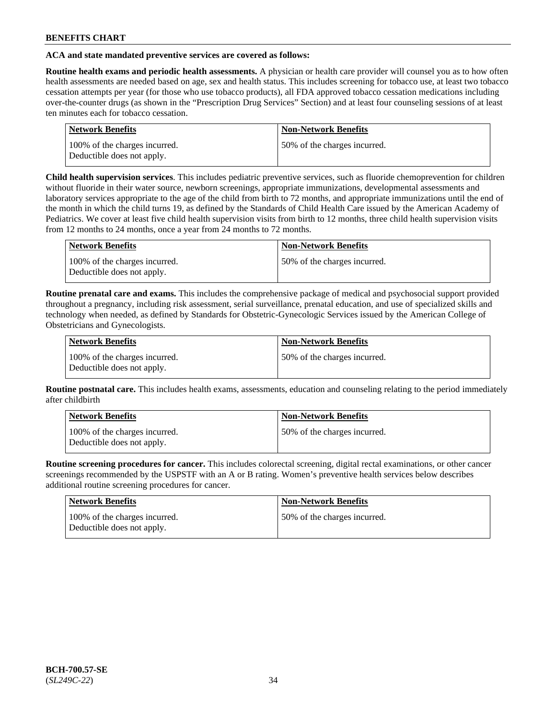### **ACA and state mandated preventive services are covered as follows:**

**Routine health exams and periodic health assessments.** A physician or health care provider will counsel you as to how often health assessments are needed based on age, sex and health status. This includes screening for tobacco use, at least two tobacco cessation attempts per year (for those who use tobacco products), all FDA approved tobacco cessation medications including over-the-counter drugs (as shown in the "Prescription Drug Services" Section) and at least four counseling sessions of at least ten minutes each for tobacco cessation.

| <b>Network Benefits</b>                                     | <b>Non-Network Benefits</b>  |
|-------------------------------------------------------------|------------------------------|
| 100% of the charges incurred.<br>Deductible does not apply. | 50% of the charges incurred. |

**Child health supervision services**. This includes pediatric preventive services, such as fluoride chemoprevention for children without fluoride in their water source, newborn screenings, appropriate immunizations, developmental assessments and laboratory services appropriate to the age of the child from birth to 72 months, and appropriate immunizations until the end of the month in which the child turns 19, as defined by the Standards of Child Health Care issued by the American Academy of Pediatrics. We cover at least five child health supervision visits from birth to 12 months, three child health supervision visits from 12 months to 24 months, once a year from 24 months to 72 months.

| Network Benefits                                            | <b>Non-Network Benefits</b>  |
|-------------------------------------------------------------|------------------------------|
| 100% of the charges incurred.<br>Deductible does not apply. | 50% of the charges incurred. |

**Routine prenatal care and exams.** This includes the comprehensive package of medical and psychosocial support provided throughout a pregnancy, including risk assessment, serial surveillance, prenatal education, and use of specialized skills and technology when needed, as defined by Standards for Obstetric-Gynecologic Services issued by the American College of Obstetricians and Gynecologists.

| Network Benefits                                            | <b>Non-Network Benefits</b>   |
|-------------------------------------------------------------|-------------------------------|
| 100% of the charges incurred.<br>Deductible does not apply. | 150% of the charges incurred. |

**Routine postnatal care.** This includes health exams, assessments, education and counseling relating to the period immediately after childbirth

| Network Benefits                                            | <b>Non-Network Benefits</b>  |
|-------------------------------------------------------------|------------------------------|
| 100% of the charges incurred.<br>Deductible does not apply. | 50% of the charges incurred. |

**Routine screening procedures for cancer.** This includes colorectal screening, digital rectal examinations, or other cancer screenings recommended by the USPSTF with an A or B rating. Women's preventive health services below describes additional routine screening procedures for cancer.

| <b>Network Benefits</b>                                     | <b>Non-Network Benefits</b>  |
|-------------------------------------------------------------|------------------------------|
| 100% of the charges incurred.<br>Deductible does not apply. | 50% of the charges incurred. |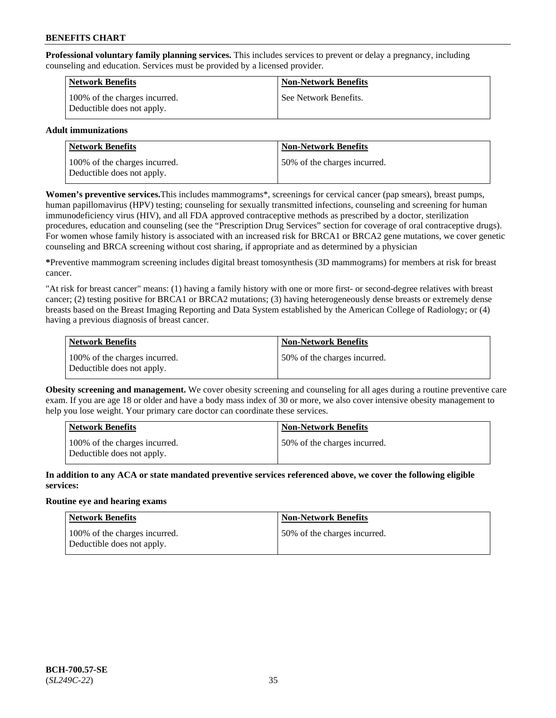**Professional voluntary family planning services.** This includes services to prevent or delay a pregnancy, including counseling and education. Services must be provided by a licensed provider.

| <b>Network Benefits</b>                                     | <b>Non-Network Benefits</b> |
|-------------------------------------------------------------|-----------------------------|
| 100% of the charges incurred.<br>Deductible does not apply. | See Network Benefits.       |

### **Adult immunizations**

| <b>Network Benefits</b>                                     | <b>Non-Network Benefits</b>  |
|-------------------------------------------------------------|------------------------------|
| 100% of the charges incurred.<br>Deductible does not apply. | 50% of the charges incurred. |

**Women's preventive services.**This includes mammograms\*, screenings for cervical cancer (pap smears), breast pumps, human papillomavirus (HPV) testing; counseling for sexually transmitted infections, counseling and screening for human immunodeficiency virus (HIV), and all FDA approved contraceptive methods as prescribed by a doctor, sterilization procedures, education and counseling (see the "Prescription Drug Services" section for coverage of oral contraceptive drugs). For women whose family history is associated with an increased risk for BRCA1 or BRCA2 gene mutations, we cover genetic counseling and BRCA screening without cost sharing, if appropriate and as determined by a physician

**\***Preventive mammogram screening includes digital breast tomosynthesis (3D mammograms) for members at risk for breast cancer.

"At risk for breast cancer" means: (1) having a family history with one or more first- or second-degree relatives with breast cancer; (2) testing positive for BRCA1 or BRCA2 mutations; (3) having heterogeneously dense breasts or extremely dense breasts based on the Breast Imaging Reporting and Data System established by the American College of Radiology; or (4) having a previous diagnosis of breast cancer.

| Network Benefits                                            | <b>Non-Network Benefits</b>  |
|-------------------------------------------------------------|------------------------------|
| 100% of the charges incurred.<br>Deductible does not apply. | 50% of the charges incurred. |

**Obesity screening and management.** We cover obesity screening and counseling for all ages during a routine preventive care exam. If you are age 18 or older and have a body mass index of 30 or more, we also cover intensive obesity management to help you lose weight. Your primary care doctor can coordinate these services.

| Network Benefits                                            | <b>Non-Network Benefits</b>  |
|-------------------------------------------------------------|------------------------------|
| 100% of the charges incurred.<br>Deductible does not apply. | 50% of the charges incurred. |

**In addition to any ACA or state mandated preventive services referenced above, we cover the following eligible services:**

### **Routine eye and hearing exams**

| <b>Network Benefits</b>                                     | <b>Non-Network Benefits</b>  |
|-------------------------------------------------------------|------------------------------|
| 100% of the charges incurred.<br>Deductible does not apply. | 50% of the charges incurred. |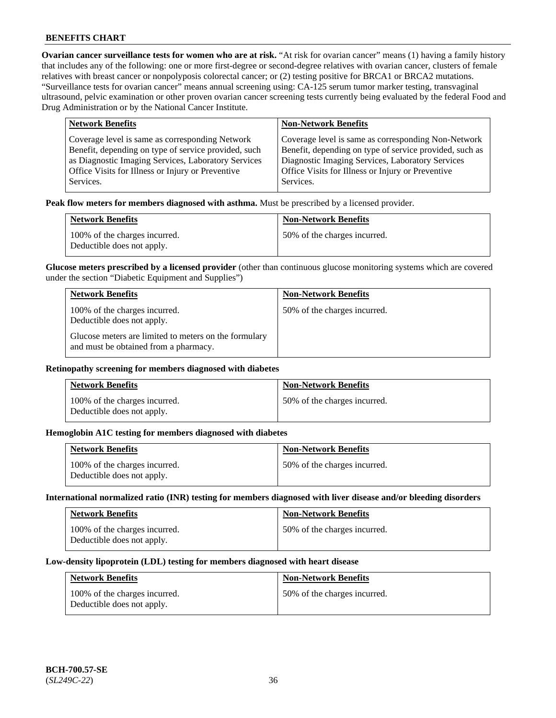**Ovarian cancer surveillance tests for women who are at risk.** "At risk for ovarian cancer" means (1) having a family history that includes any of the following: one or more first-degree or second-degree relatives with ovarian cancer, clusters of female relatives with breast cancer or nonpolyposis colorectal cancer; or (2) testing positive for BRCA1 or BRCA2 mutations. "Surveillance tests for ovarian cancer" means annual screening using: CA-125 serum tumor marker testing, transvaginal ultrasound, pelvic examination or other proven ovarian cancer screening tests currently being evaluated by the federal Food and Drug Administration or by the National Cancer Institute.

| <b>Network Benefits</b>                              | <b>Non-Network Benefits</b>                             |
|------------------------------------------------------|---------------------------------------------------------|
| Coverage level is same as corresponding Network      | Coverage level is same as corresponding Non-Network     |
| Benefit, depending on type of service provided, such | Benefit, depending on type of service provided, such as |
| as Diagnostic Imaging Services, Laboratory Services  | Diagnostic Imaging Services, Laboratory Services        |
| Office Visits for Illness or Injury or Preventive    | Office Visits for Illness or Injury or Preventive       |
| Services.                                            | Services.                                               |

**Peak flow meters for members diagnosed with asthma.** Must be prescribed by a licensed provider.

| <b>Network Benefits</b>                                     | <b>Non-Network Benefits</b>  |
|-------------------------------------------------------------|------------------------------|
| 100% of the charges incurred.<br>Deductible does not apply. | 50% of the charges incurred. |

**Glucose meters prescribed by a licensed provider** (other than continuous glucose monitoring systems which are covered under the section "Diabetic Equipment and Supplies")

| <b>Network Benefits</b>                                                                        | <b>Non-Network Benefits</b>  |
|------------------------------------------------------------------------------------------------|------------------------------|
| 100% of the charges incurred.<br>Deductible does not apply.                                    | 50% of the charges incurred. |
| Glucose meters are limited to meters on the formulary<br>and must be obtained from a pharmacy. |                              |

#### **Retinopathy screening for members diagnosed with diabetes**

| <b>Network Benefits</b>                                     | <b>Non-Network Benefits</b>  |
|-------------------------------------------------------------|------------------------------|
| 100% of the charges incurred.<br>Deductible does not apply. | 50% of the charges incurred. |

#### **Hemoglobin A1C testing for members diagnosed with diabetes**

| <b>Network Benefits</b>                                     | <b>Non-Network Benefits</b>  |
|-------------------------------------------------------------|------------------------------|
| 100% of the charges incurred.<br>Deductible does not apply. | 50% of the charges incurred. |

#### **International normalized ratio (INR) testing for members diagnosed with liver disease and/or bleeding disorders**

| <b>Network Benefits</b>                                     | <b>Non-Network Benefits</b>  |
|-------------------------------------------------------------|------------------------------|
| 100% of the charges incurred.<br>Deductible does not apply. | 50% of the charges incurred. |

#### **Low-density lipoprotein (LDL) testing for members diagnosed with heart disease**

| <b>Network Benefits</b>                                     | <b>Non-Network Benefits</b>  |
|-------------------------------------------------------------|------------------------------|
| 100% of the charges incurred.<br>Deductible does not apply. | 50% of the charges incurred. |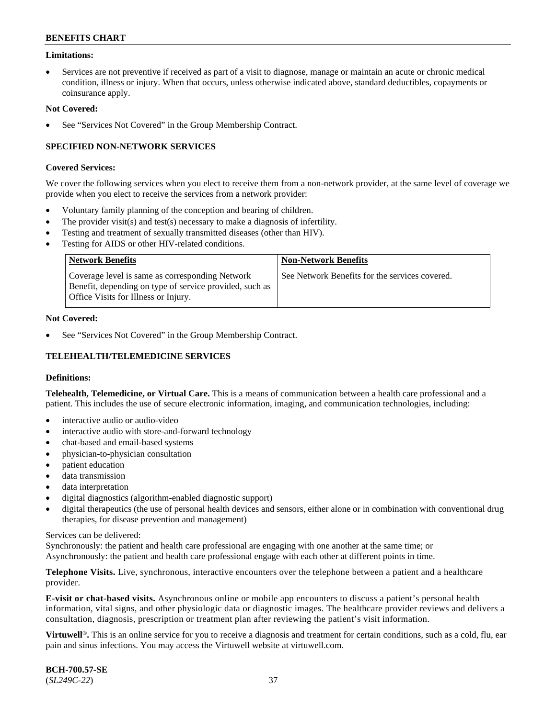### **Limitations:**

• Services are not preventive if received as part of a visit to diagnose, manage or maintain an acute or chronic medical condition, illness or injury. When that occurs, unless otherwise indicated above, standard deductibles, copayments or coinsurance apply.

#### **Not Covered:**

See "Services Not Covered" in the Group Membership Contract.

### **SPECIFIED NON-NETWORK SERVICES**

#### **Covered Services:**

We cover the following services when you elect to receive them from a non-network provider, at the same level of coverage we provide when you elect to receive the services from a network provider:

- Voluntary family planning of the conception and bearing of children.
- The provider visit(s) and test(s) necessary to make a diagnosis of infertility.
- Testing and treatment of sexually transmitted diseases (other than HIV).
- Testing for AIDS or other HIV-related conditions.

| Network Benefits                                                                                                                                   | <b>Non-Network Benefits</b>                    |
|----------------------------------------------------------------------------------------------------------------------------------------------------|------------------------------------------------|
| Coverage level is same as corresponding Network<br>Benefit, depending on type of service provided, such as<br>Office Visits for Illness or Injury. | See Network Benefits for the services covered. |

#### **Not Covered:**

See "Services Not Covered" in the Group Membership Contract.

# **TELEHEALTH/TELEMEDICINE SERVICES**

#### **Definitions:**

**Telehealth, Telemedicine, or Virtual Care.** This is a means of communication between a health care professional and a patient. This includes the use of secure electronic information, imaging, and communication technologies, including:

- interactive audio or audio-video
- interactive audio with store-and-forward technology
- chat-based and email-based systems
- physician-to-physician consultation
- patient education
- data transmission
- data interpretation
- digital diagnostics (algorithm-enabled diagnostic support)
- digital therapeutics (the use of personal health devices and sensors, either alone or in combination with conventional drug therapies, for disease prevention and management)

#### Services can be delivered:

Synchronously: the patient and health care professional are engaging with one another at the same time; or Asynchronously: the patient and health care professional engage with each other at different points in time.

**Telephone Visits.** Live, synchronous, interactive encounters over the telephone between a patient and a healthcare provider.

**E-visit or chat-based visits.** Asynchronous online or mobile app encounters to discuss a patient's personal health information, vital signs, and other physiologic data or diagnostic images. The healthcare provider reviews and delivers a consultation, diagnosis, prescription or treatment plan after reviewing the patient's visit information.

**Virtuwell<sup>®</sup>**. This is an online service for you to receive a diagnosis and treatment for certain conditions, such as a cold, flu, ear pain and sinus infections. You may access the Virtuwell website at [virtuwell.com.](https://www.virtuwell.com/)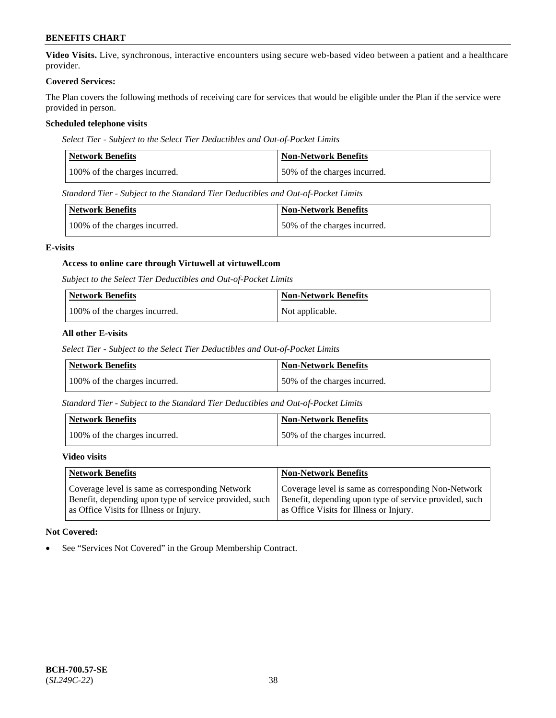**Video Visits.** Live, synchronous, interactive encounters using secure web-based video between a patient and a healthcare provider.

#### **Covered Services:**

The Plan covers the following methods of receiving care for services that would be eligible under the Plan if the service were provided in person.

### **Scheduled telephone visits**

*Select Tier - Subject to the Select Tier Deductibles and Out-of-Pocket Limits*

| Network Benefits              | <b>Non-Network Benefits</b>  |
|-------------------------------|------------------------------|
| 100% of the charges incurred. | 50% of the charges incurred. |

*Standard Tier - Subject to the Standard Tier Deductibles and Out-of-Pocket Limits*

| Network Benefits              | <b>Non-Network Benefits</b>  |
|-------------------------------|------------------------------|
| 100% of the charges incurred. | 50% of the charges incurred. |

### **E-visits**

### **Access to online care through Virtuwell at [virtuwell.com](https://www.virtuwell.com/)**

*Subject to the Select Tier Deductibles and Out-of-Pocket Limits*

| <b>Network Benefits</b>       | <b>Non-Network Benefits</b> |
|-------------------------------|-----------------------------|
| 100% of the charges incurred. | Not applicable.             |

### **All other E-visits**

*Select Tier - Subject to the Select Tier Deductibles and Out-of-Pocket Limits*

| Network Benefits              | Non-Network Benefits         |
|-------------------------------|------------------------------|
| 100% of the charges incurred. | 50% of the charges incurred. |

*Standard Tier - Subject to the Standard Tier Deductibles and Out-of-Pocket Limits*

| Network Benefits              | <b>Non-Network Benefits</b>  |
|-------------------------------|------------------------------|
| 100% of the charges incurred. | 50% of the charges incurred. |

#### **Video visits**

| <b>Network Benefits</b>                                | <b>Non-Network Benefits</b>                            |
|--------------------------------------------------------|--------------------------------------------------------|
| Coverage level is same as corresponding Network        | Coverage level is same as corresponding Non-Network    |
| Benefit, depending upon type of service provided, such | Benefit, depending upon type of service provided, such |
| as Office Visits for Illness or Injury.                | as Office Visits for Illness or Injury.                |

### **Not Covered:**

See "Services Not Covered" in the Group Membership Contract.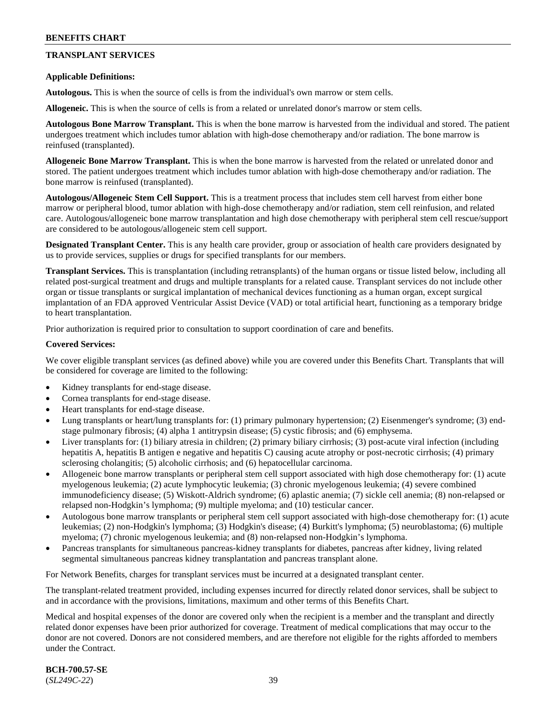# **TRANSPLANT SERVICES**

#### **Applicable Definitions:**

**Autologous.** This is when the source of cells is from the individual's own marrow or stem cells.

**Allogeneic.** This is when the source of cells is from a related or unrelated donor's marrow or stem cells.

**Autologous Bone Marrow Transplant.** This is when the bone marrow is harvested from the individual and stored. The patient undergoes treatment which includes tumor ablation with high-dose chemotherapy and/or radiation. The bone marrow is reinfused (transplanted).

**Allogeneic Bone Marrow Transplant.** This is when the bone marrow is harvested from the related or unrelated donor and stored. The patient undergoes treatment which includes tumor ablation with high-dose chemotherapy and/or radiation. The bone marrow is reinfused (transplanted).

**Autologous/Allogeneic Stem Cell Support.** This is a treatment process that includes stem cell harvest from either bone marrow or peripheral blood, tumor ablation with high-dose chemotherapy and/or radiation, stem cell reinfusion, and related care. Autologous/allogeneic bone marrow transplantation and high dose chemotherapy with peripheral stem cell rescue/support are considered to be autologous/allogeneic stem cell support.

**Designated Transplant Center.** This is any health care provider, group or association of health care providers designated by us to provide services, supplies or drugs for specified transplants for our members.

**Transplant Services.** This is transplantation (including retransplants) of the human organs or tissue listed below, including all related post-surgical treatment and drugs and multiple transplants for a related cause. Transplant services do not include other organ or tissue transplants or surgical implantation of mechanical devices functioning as a human organ, except surgical implantation of an FDA approved Ventricular Assist Device (VAD) or total artificial heart, functioning as a temporary bridge to heart transplantation.

Prior authorization is required prior to consultation to support coordination of care and benefits.

#### **Covered Services:**

We cover eligible transplant services (as defined above) while you are covered under this Benefits Chart. Transplants that will be considered for coverage are limited to the following:

- Kidney transplants for end-stage disease.
- Cornea transplants for end-stage disease.
- Heart transplants for end-stage disease.
- Lung transplants or heart/lung transplants for: (1) primary pulmonary hypertension; (2) Eisenmenger's syndrome; (3) endstage pulmonary fibrosis; (4) alpha 1 antitrypsin disease; (5) cystic fibrosis; and (6) emphysema.
- Liver transplants for: (1) biliary atresia in children; (2) primary biliary cirrhosis; (3) post-acute viral infection (including hepatitis A, hepatitis B antigen e negative and hepatitis C) causing acute atrophy or post-necrotic cirrhosis; (4) primary sclerosing cholangitis; (5) alcoholic cirrhosis; and (6) hepatocellular carcinoma.
- Allogeneic bone marrow transplants or peripheral stem cell support associated with high dose chemotherapy for: (1) acute myelogenous leukemia; (2) acute lymphocytic leukemia; (3) chronic myelogenous leukemia; (4) severe combined immunodeficiency disease; (5) Wiskott-Aldrich syndrome; (6) aplastic anemia; (7) sickle cell anemia; (8) non-relapsed or relapsed non-Hodgkin's lymphoma; (9) multiple myeloma; and (10) testicular cancer.
- Autologous bone marrow transplants or peripheral stem cell support associated with high-dose chemotherapy for: (1) acute leukemias; (2) non-Hodgkin's lymphoma; (3) Hodgkin's disease; (4) Burkitt's lymphoma; (5) neuroblastoma; (6) multiple myeloma; (7) chronic myelogenous leukemia; and (8) non-relapsed non-Hodgkin's lymphoma.
- Pancreas transplants for simultaneous pancreas-kidney transplants for diabetes, pancreas after kidney, living related segmental simultaneous pancreas kidney transplantation and pancreas transplant alone.

For Network Benefits, charges for transplant services must be incurred at a designated transplant center.

The transplant-related treatment provided, including expenses incurred for directly related donor services, shall be subject to and in accordance with the provisions, limitations, maximum and other terms of this Benefits Chart.

Medical and hospital expenses of the donor are covered only when the recipient is a member and the transplant and directly related donor expenses have been prior authorized for coverage. Treatment of medical complications that may occur to the donor are not covered. Donors are not considered members, and are therefore not eligible for the rights afforded to members under the Contract.